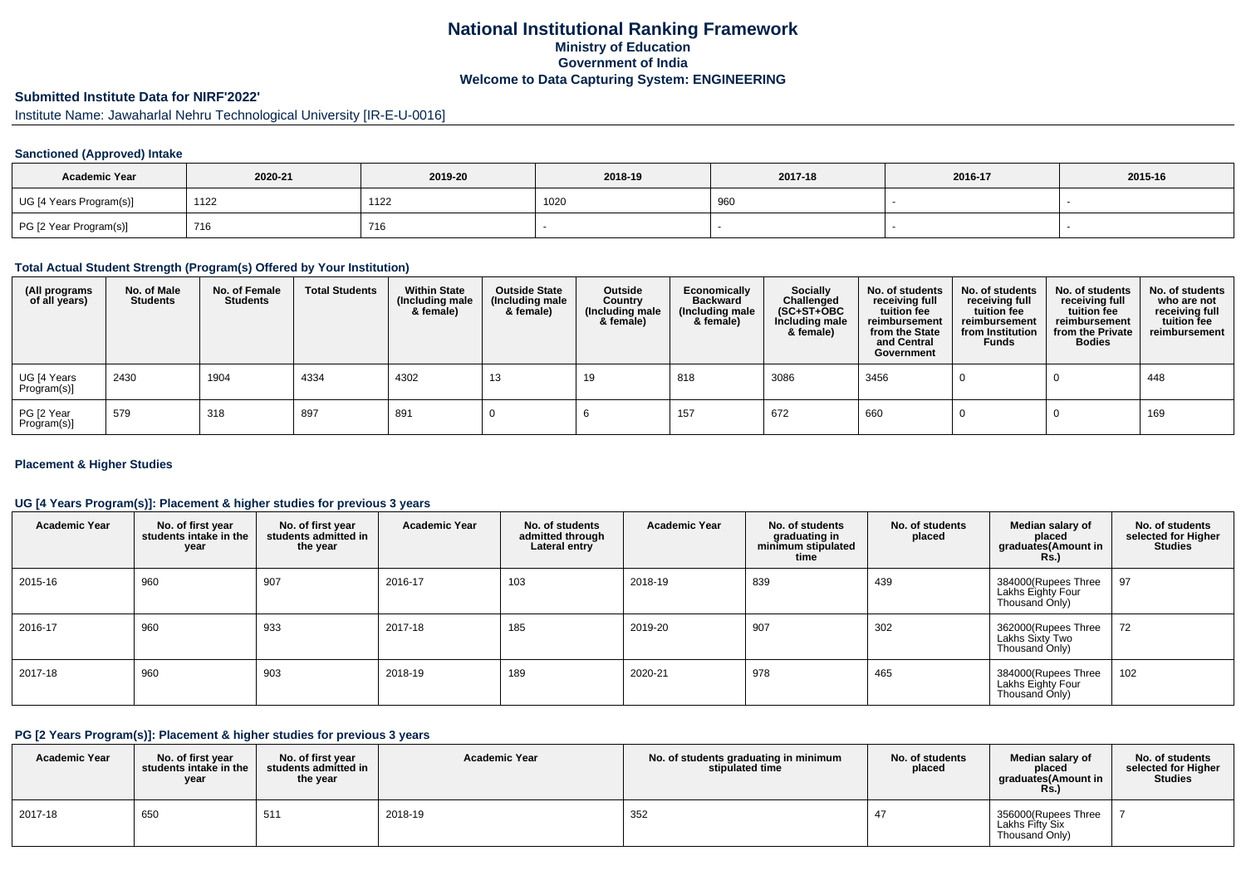## **National Institutional Ranking FrameworkMinistry of Education Government of IndiaWelcome to Data Capturing System: ENGINEERING**

# **Submitted Institute Data for NIRF'2022'**

Institute Name: Jawaharlal Nehru Technological University [IR-E-U-0016]

### **Sanctioned (Approved) Intake**

| <b>Academic Year</b>    | 2020-21 | 2019-20 | 2018-19 | 2017-18 | 2016-17 | 2015-16 |
|-------------------------|---------|---------|---------|---------|---------|---------|
| UG [4 Years Program(s)] | 1122    | 1122    | 1020    | 960     |         |         |
| PG [2 Year Program(s)]  | 716     | 716     |         |         |         |         |

#### **Total Actual Student Strength (Program(s) Offered by Your Institution)**

| (All programs<br>of all years) | No. of Male<br><b>Students</b> | No. of Female<br><b>Students</b> | <b>Total Students</b> | <b>Within State</b><br>(Including male<br>& female) | <b>Outside State</b><br>(Including male<br>& female) | Outside<br>Country<br>(Including male<br>& female) | Economically<br><b>Backward</b><br>(Including male<br>& female) | <b>Socially</b><br>Challenged<br>$(SC+ST+OBC)$<br>Including male<br>& female) | No. of students<br>receiving full<br>tuition fee<br>reimbursement<br>from the State<br>and Central<br>Government | No. of students<br>receiving full<br>tuition fee<br>reimbursement<br>from Institution<br><b>Funds</b> | No. of students<br>receiving full<br>tuition fee<br>reimbursement<br>from the Private<br><b>Bodies</b> | No. of students<br>who are not<br>receiving full<br>tuition fee<br>reimbursement |
|--------------------------------|--------------------------------|----------------------------------|-----------------------|-----------------------------------------------------|------------------------------------------------------|----------------------------------------------------|-----------------------------------------------------------------|-------------------------------------------------------------------------------|------------------------------------------------------------------------------------------------------------------|-------------------------------------------------------------------------------------------------------|--------------------------------------------------------------------------------------------------------|----------------------------------------------------------------------------------|
| UG [4 Years<br>Program(s)]     | 2430                           | 1904                             | 4334                  | 4302                                                | 13                                                   | 19                                                 | 818                                                             | 3086                                                                          | 3456                                                                                                             |                                                                                                       |                                                                                                        | 448                                                                              |
| PG [2 Year<br>Program(s)]      | 579                            | 318                              | 897                   | 891                                                 |                                                      |                                                    | 157                                                             | 672                                                                           | 660                                                                                                              |                                                                                                       |                                                                                                        | 169                                                                              |

#### **Placement & Higher Studies**

### **UG [4 Years Program(s)]: Placement & higher studies for previous 3 years**

| <b>Academic Year</b> | No. of first year<br>students intake in the<br>year | No. of first year<br>students admitted in<br>the year | <b>Academic Year</b> | No. of students<br>admitted through<br>Lateral entry | <b>Academic Year</b> | No. of students<br>graduating in<br>minimum stipulated<br>time | No. of students<br>placed | Median salary of<br>placed<br>graduates(Amount in<br><b>Rs.)</b> | No. of students<br>selected for Higher<br><b>Studies</b> |
|----------------------|-----------------------------------------------------|-------------------------------------------------------|----------------------|------------------------------------------------------|----------------------|----------------------------------------------------------------|---------------------------|------------------------------------------------------------------|----------------------------------------------------------|
| 2015-16              | 960                                                 | 907                                                   | 2016-17              | 103                                                  | 2018-19              | 839                                                            | 439                       | 384000(Rupees Three<br>Lakhs Eighty Four<br>Thousand Only)       | 97                                                       |
| 2016-17              | 960                                                 | 933                                                   | 2017-18              | 185                                                  | 2019-20              | 907                                                            | 302                       | 362000(Rupees Three<br>Lakhs Sixty Two<br>Thousand Only)         | 72                                                       |
| 2017-18              | 960                                                 | 903                                                   | 2018-19              | 189                                                  | 2020-21              | 978                                                            | 465                       | 384000(Rupees Three<br>Lakhs Eighty Four<br>Thousand Only)       | 102                                                      |

### **PG [2 Years Program(s)]: Placement & higher studies for previous 3 years**

| <b>Academic Year</b> | No. of first vear<br>students intake in the<br>year | No. of first year<br>students admitted in<br>the year | <b>Academic Year</b> | No. of students graduating in minimum<br>stipulated time | No. of students<br>placed | Median salary of<br>placed<br>graduates(Amount in<br><b>Rs.)</b> | No. of students<br>selected for Higher<br><b>Studies</b> |
|----------------------|-----------------------------------------------------|-------------------------------------------------------|----------------------|----------------------------------------------------------|---------------------------|------------------------------------------------------------------|----------------------------------------------------------|
| 2017-18              | 650                                                 | 511                                                   | 2018-19              | 352                                                      |                           | 356000(Rupees Three<br>Lakhs Fifty Six<br>Thousand Only)         |                                                          |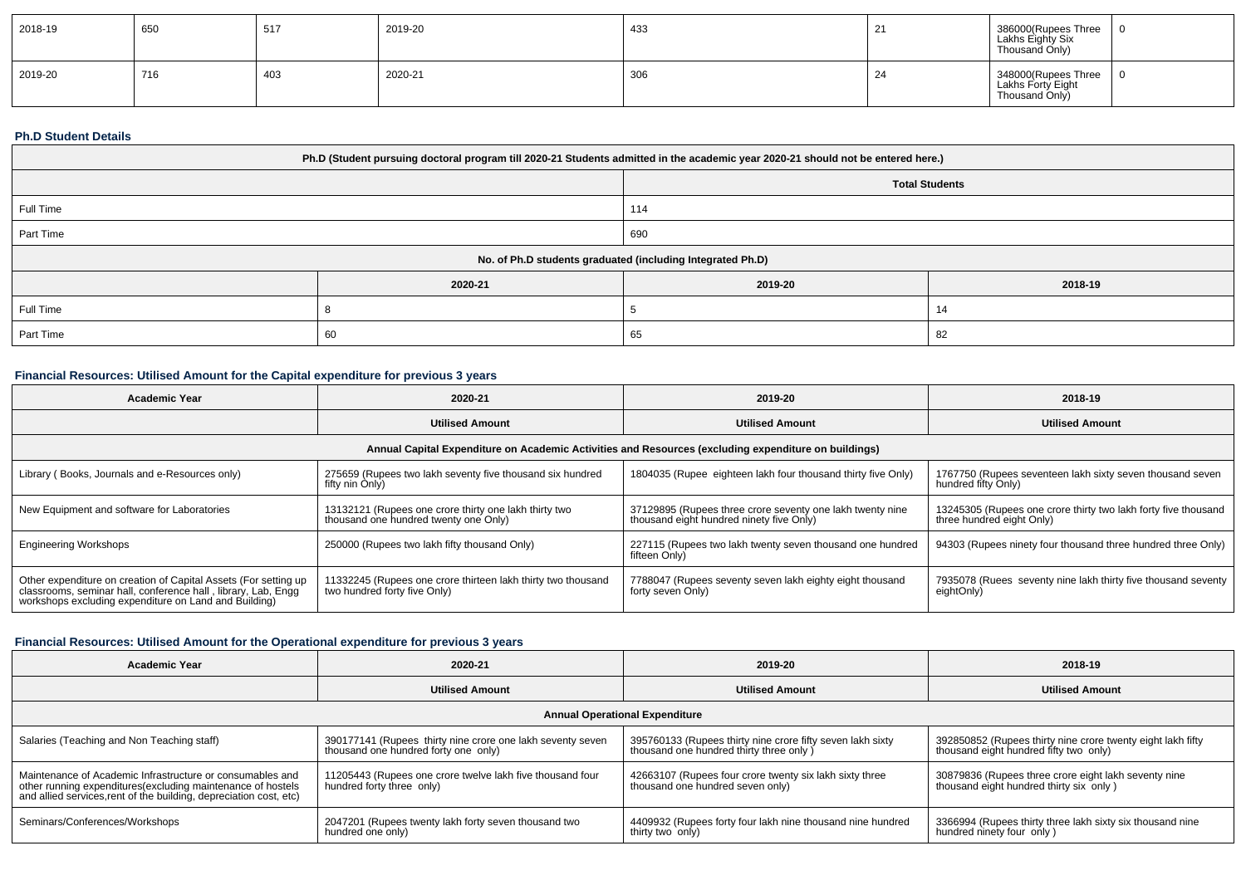| 2018-19 | 650 | 517 | 2019-20 | 433 | <u>.</u> | 386000(Rupees Three<br>Lakhs Eighty Six<br>Thousand Only)  |  |
|---------|-----|-----|---------|-----|----------|------------------------------------------------------------|--|
| 2019-20 | 716 | 403 | 2020-21 | 306 |          | 348000(Rupees Three<br>Lakhs Forty Eight<br>Thousand Only) |  |

#### **Ph.D Student Details**

| Ph.D (Student pursuing doctoral program till 2020-21 Students admitted in the academic year 2020-21 should not be entered here.) |         |                       |         |  |  |
|----------------------------------------------------------------------------------------------------------------------------------|---------|-----------------------|---------|--|--|
|                                                                                                                                  |         | <b>Total Students</b> |         |  |  |
| Full Time                                                                                                                        |         | 114                   |         |  |  |
| Part Time                                                                                                                        |         | 690                   |         |  |  |
| No. of Ph.D students graduated (including Integrated Ph.D)                                                                       |         |                       |         |  |  |
|                                                                                                                                  | 2020-21 | 2019-20               | 2018-19 |  |  |
| Full Time                                                                                                                        |         |                       |         |  |  |
| Part Time                                                                                                                        | 60      | 65                    | -82     |  |  |

### **Financial Resources: Utilised Amount for the Capital expenditure for previous 3 years**

| Academic Year                                                                                                                                                                             | 2020-21                                                                                        | 2019-20                                                                                               | 2018-19                                                                                     |  |  |  |  |
|-------------------------------------------------------------------------------------------------------------------------------------------------------------------------------------------|------------------------------------------------------------------------------------------------|-------------------------------------------------------------------------------------------------------|---------------------------------------------------------------------------------------------|--|--|--|--|
|                                                                                                                                                                                           | <b>Utilised Amount</b>                                                                         | <b>Utilised Amount</b>                                                                                | <b>Utilised Amount</b>                                                                      |  |  |  |  |
| Annual Capital Expenditure on Academic Activities and Resources (excluding expenditure on buildings)                                                                                      |                                                                                                |                                                                                                       |                                                                                             |  |  |  |  |
| Library (Books, Journals and e-Resources only)                                                                                                                                            | 275659 (Rupees two lakh seventy five thousand six hundred<br>fifty nin Only)                   | 1804035 (Rupee eighteen lakh four thousand thirty five Only)                                          | 1767750 (Rupees seventeen lakh sixty seven thousand seven<br>hundred fifty Only)            |  |  |  |  |
| New Equipment and software for Laboratories                                                                                                                                               | 13132121 (Rupees one crore thirty one lakh thirty two<br>thousand one hundred twenty one Only) | 37129895 (Rupees three crore seventy one lakh twenty nine<br>thousand eight hundred ninety five Only) | 13245305 (Rupees one crore thirty two lakh forty five thousand<br>three hundred eight Only) |  |  |  |  |
| <b>Engineering Workshops</b>                                                                                                                                                              | 250000 (Rupees two lakh fifty thousand Only)                                                   | 227115 (Rupees two lakh twenty seven thousand one hundred<br>fifteen Only)                            | 94303 (Rupees ninety four thousand three hundred three Only)                                |  |  |  |  |
| Other expenditure on creation of Capital Assets (For setting up<br>classrooms, seminar hall, conference hall, library, Lab, Engq<br>workshops excluding expenditure on Land and Building) | 11332245 (Rupees one crore thirteen lakh thirty two thousand<br>two hundred forty five Only)   | 7788047 (Rupees seventy seven lakh eighty eight thousand<br>forty seven Only)                         | 7935078 (Ruees seventy nine lakh thirty five thousand seventy<br>eightOnly)                 |  |  |  |  |

### **Financial Resources: Utilised Amount for the Operational expenditure for previous 3 years**

| <b>Academic Year</b>                                                                                                                                                                            | 2020-21                                                                                            | 2019-20                                                                                                | 2018-19                                                                                               |  |  |  |  |
|-------------------------------------------------------------------------------------------------------------------------------------------------------------------------------------------------|----------------------------------------------------------------------------------------------------|--------------------------------------------------------------------------------------------------------|-------------------------------------------------------------------------------------------------------|--|--|--|--|
|                                                                                                                                                                                                 | <b>Utilised Amount</b>                                                                             | <b>Utilised Amount</b>                                                                                 | <b>Utilised Amount</b>                                                                                |  |  |  |  |
| <b>Annual Operational Expenditure</b>                                                                                                                                                           |                                                                                                    |                                                                                                        |                                                                                                       |  |  |  |  |
| Salaries (Teaching and Non Teaching staff)                                                                                                                                                      | 390177141 (Rupees thirty nine crore one lakh seventy seven<br>thousand one hundred forty one only) | 395760133 (Rupees thirty nine crore fifty seven lakh sixty<br>thousand one hundred thirty three only ) | 392850852 (Rupees thirty nine crore twenty eight lakh fifty<br>thousand eight hundred fifty two only) |  |  |  |  |
| Maintenance of Academic Infrastructure or consumables and<br>other running expenditures (excluding maintenance of hostels<br>and allied services, rent of the building, depreciation cost, etc) | 11205443 (Rupees one crore twelve lakh five thousand four<br>hundred forty three only)             | 42663107 (Rupees four crore twenty six lakh sixty three<br>thousand one hundred seven only)            | 30879836 (Rupees three crore eight lakh seventy nine<br>thousand eight hundred thirty six only)       |  |  |  |  |
| Seminars/Conferences/Workshops                                                                                                                                                                  | 2047201 (Rupees twenty lakh forty seven thousand two<br>hundred one only)                          | 4409932 (Rupees forty four lakh nine thousand nine hundred<br>thirty two only)                         | 3366994 (Rupees thirty three lakh sixty six thousand nine<br>hundred ninety four only)                |  |  |  |  |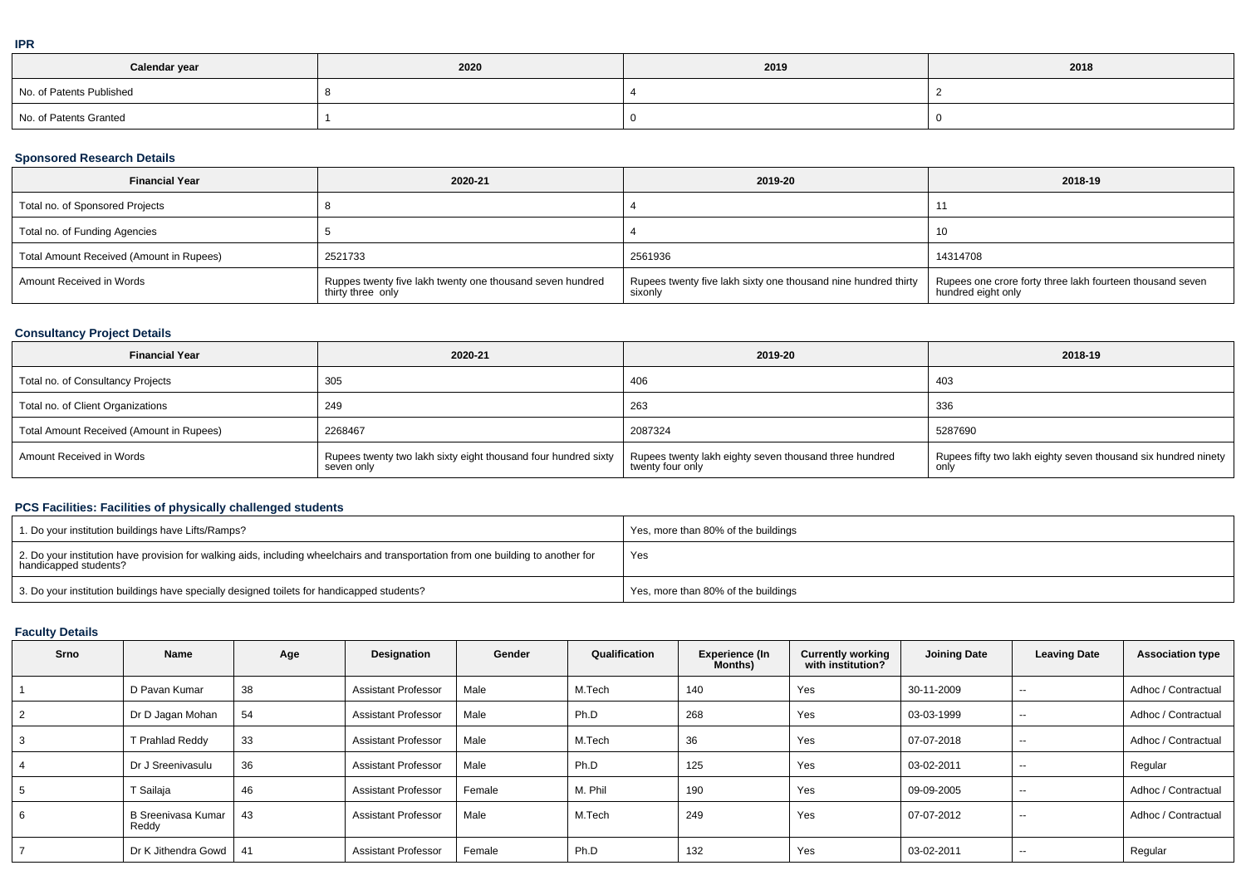| Calendar year            | 2020 | 2019 | 2018 |
|--------------------------|------|------|------|
| No. of Patents Published |      |      |      |
| No. of Patents Granted   |      |      |      |

#### **Sponsored Research Details**

| <b>Financial Year</b>                    | 2020-21                                                                        | 2019-20                                                                   | 2018-19                                                                         |
|------------------------------------------|--------------------------------------------------------------------------------|---------------------------------------------------------------------------|---------------------------------------------------------------------------------|
| Total no. of Sponsored Projects          |                                                                                |                                                                           |                                                                                 |
| Total no. of Funding Agencies            |                                                                                |                                                                           |                                                                                 |
| Total Amount Received (Amount in Rupees) | 2521733                                                                        | 2561936                                                                   | 14314708                                                                        |
| Amount Received in Words                 | Ruppes twenty five lakh twenty one thousand seven hundred<br>thirty three only | Rupees twenty five lakh sixty one thousand nine hundred thirty<br>sixonly | Rupees one crore forty three lakh fourteen thousand seven<br>hundred eight only |

### **Consultancy Project Details**

| <b>Financial Year</b>                    | 2020-21                                                                      | 2019-20                                                                    | 2018-19                                                        |
|------------------------------------------|------------------------------------------------------------------------------|----------------------------------------------------------------------------|----------------------------------------------------------------|
| Total no. of Consultancy Projects        | 305                                                                          | 406                                                                        | 403                                                            |
| Total no. of Client Organizations        | 249                                                                          | 263                                                                        | 336                                                            |
| Total Amount Received (Amount in Rupees) | 2268467                                                                      | 2087324                                                                    | 5287690                                                        |
| Amount Received in Words                 | Rupees twenty two lakh sixty eight thousand four hundred sixty<br>seven only | Rupees twenty lakh eighty seven thousand three hundred<br>twenty four only | Rupees fifty two lakh eighty seven thousand six hundred ninety |

### **PCS Facilities: Facilities of physically challenged students**

| 1. Do your institution buildings have Lifts/Ramps?                                                                                                         | Yes, more than 80% of the buildings |
|------------------------------------------------------------------------------------------------------------------------------------------------------------|-------------------------------------|
| 2. Do your institution have provision for walking aids, including wheelchairs and transportation from one building to another for<br>handicapped students? | Yes                                 |
| 3. Do your institution buildings have specially designed toilets for handicapped students?                                                                 | Yes, more than 80% of the buildings |

### **Faculty Details**

| Srno           | Name                               | Age | Designation                | Gender | Qualification | Experience (In<br>Months) | <b>Currently working</b><br>with institution? | <b>Joining Date</b> | <b>Leaving Date</b> | <b>Association type</b> |
|----------------|------------------------------------|-----|----------------------------|--------|---------------|---------------------------|-----------------------------------------------|---------------------|---------------------|-------------------------|
|                | D Pavan Kumar                      | 38  | <b>Assistant Professor</b> | Male   | M.Tech        | 140                       | Yes                                           | 30-11-2009          | --                  | Adhoc / Contractual     |
| 2              | Dr D Jagan Mohan                   | 54  | <b>Assistant Professor</b> | Male   | Ph.D          | 268                       | Yes                                           | 03-03-1999          | $\sim$              | Adhoc / Contractual     |
| 3              | T Prahlad Reddy                    | 33  | <b>Assistant Professor</b> | Male   | M.Tech        | 36                        | Yes                                           | 07-07-2018          | $\sim$              | Adhoc / Contractual     |
| $\overline{4}$ | Dr J Sreenivasulu                  | 36  | <b>Assistant Professor</b> | Male   | Ph.D          | 125                       | Yes                                           | 03-02-2011          | $- -$               | Regular                 |
| 5              | T Sailaja                          | 46  | <b>Assistant Professor</b> | Female | M. Phil       | 190                       | Yes                                           | 09-09-2005          | $- -$               | Adhoc / Contractual     |
| 6              | <b>B Sreenivasa Kumar</b><br>Reddy | 43  | <b>Assistant Professor</b> | Male   | M.Tech        | 249                       | Yes                                           | 07-07-2012          | --                  | Adhoc / Contractual     |
|                | Dr K Jithendra Gowd                | -41 | <b>Assistant Professor</b> | Female | Ph.D          | 132                       | Yes                                           | 03-02-2011          | $\sim$              | Regular                 |

**IPR**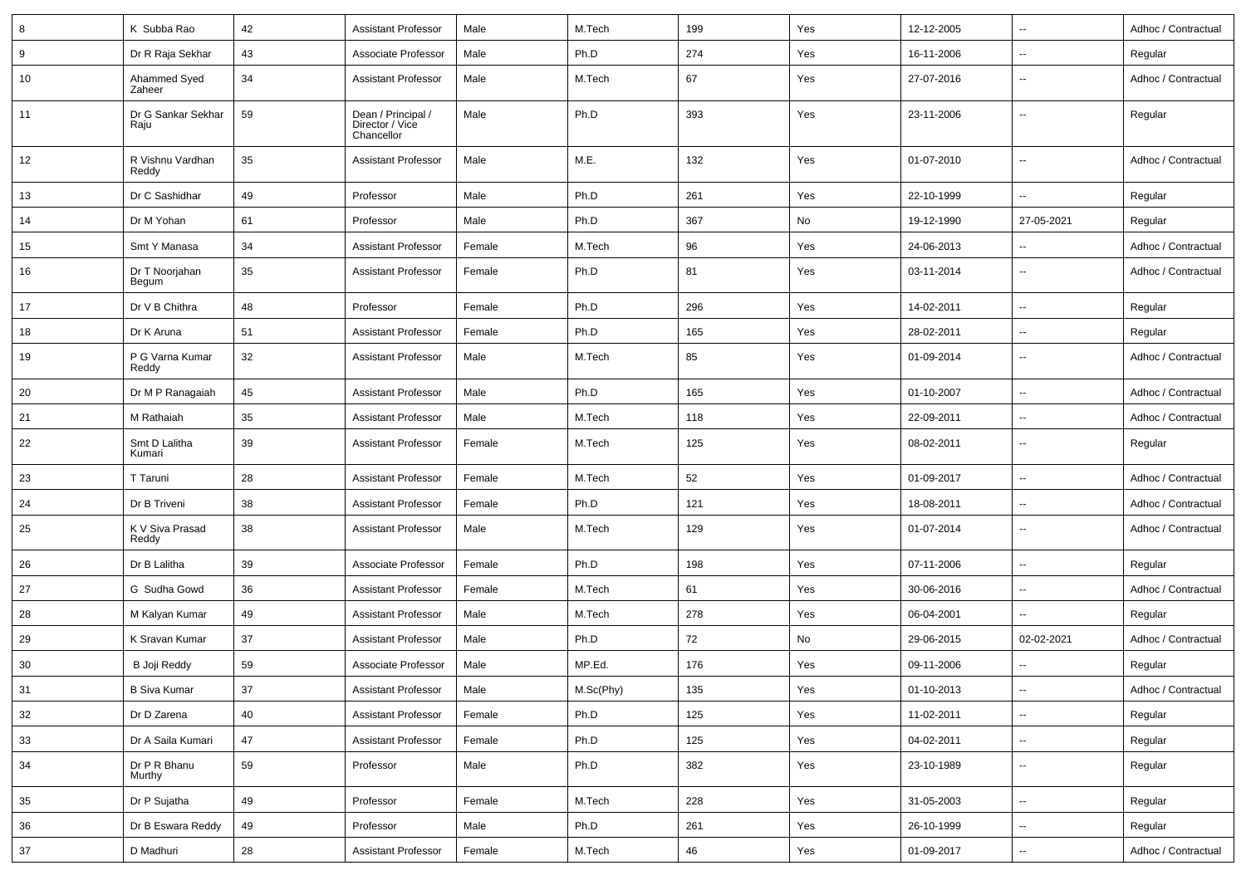| 8  | K Subba Rao                | 42 | <b>Assistant Professor</b>                          | Male   | M.Tech    | 199 | Yes | 12-12-2005 | $\overline{\phantom{a}}$ | Adhoc / Contractual |
|----|----------------------------|----|-----------------------------------------------------|--------|-----------|-----|-----|------------|--------------------------|---------------------|
| 9  | Dr R Raja Sekhar           | 43 | Associate Professor                                 | Male   | Ph.D      | 274 | Yes | 16-11-2006 | $\overline{\phantom{a}}$ | Regular             |
| 10 | Ahammed Syed<br>Zaheer     | 34 | <b>Assistant Professor</b>                          | Male   | M.Tech    | 67  | Yes | 27-07-2016 | $\overline{\phantom{a}}$ | Adhoc / Contractual |
| 11 | Dr G Sankar Sekhar<br>Raju | 59 | Dean / Principal /<br>Director / Vice<br>Chancellor | Male   | Ph.D      | 393 | Yes | 23-11-2006 | $\overline{\phantom{a}}$ | Regular             |
| 12 | R Vishnu Vardhan<br>Reddy  | 35 | <b>Assistant Professor</b>                          | Male   | M.E.      | 132 | Yes | 01-07-2010 | --                       | Adhoc / Contractual |
| 13 | Dr C Sashidhar             | 49 | Professor                                           | Male   | Ph.D      | 261 | Yes | 22-10-1999 | $\overline{\phantom{a}}$ | Regular             |
| 14 | Dr M Yohan                 | 61 | Professor                                           | Male   | Ph.D      | 367 | No  | 19-12-1990 | 27-05-2021               | Regular             |
| 15 | Smt Y Manasa               | 34 | <b>Assistant Professor</b>                          | Female | M.Tech    | 96  | Yes | 24-06-2013 | --                       | Adhoc / Contractual |
| 16 | Dr T Noorjahan<br>Begum    | 35 | <b>Assistant Professor</b>                          | Female | Ph.D      | 81  | Yes | 03-11-2014 | $\overline{\phantom{a}}$ | Adhoc / Contractual |
| 17 | Dr V B Chithra             | 48 | Professor                                           | Female | Ph.D      | 296 | Yes | 14-02-2011 | $\overline{\phantom{a}}$ | Regular             |
| 18 | Dr K Aruna                 | 51 | <b>Assistant Professor</b>                          | Female | Ph.D      | 165 | Yes | 28-02-2011 | $\overline{\phantom{a}}$ | Regular             |
| 19 | P G Varna Kumar<br>Reddy   | 32 | <b>Assistant Professor</b>                          | Male   | M.Tech    | 85  | Yes | 01-09-2014 | $\overline{\phantom{a}}$ | Adhoc / Contractual |
| 20 | Dr M P Ranagaiah           | 45 | <b>Assistant Professor</b>                          | Male   | Ph.D      | 165 | Yes | 01-10-2007 | $\overline{\phantom{a}}$ | Adhoc / Contractual |
| 21 | M Rathaiah                 | 35 | <b>Assistant Professor</b>                          | Male   | M.Tech    | 118 | Yes | 22-09-2011 | $\overline{\phantom{a}}$ | Adhoc / Contractual |
| 22 | Smt D Lalitha<br>Kumari    | 39 | <b>Assistant Professor</b>                          | Female | M.Tech    | 125 | Yes | 08-02-2011 | $\overline{\phantom{a}}$ | Regular             |
| 23 | T Taruni                   | 28 | <b>Assistant Professor</b>                          | Female | M.Tech    | 52  | Yes | 01-09-2017 | $\overline{\phantom{a}}$ | Adhoc / Contractual |
| 24 | Dr B Triveni               | 38 | <b>Assistant Professor</b>                          | Female | Ph.D      | 121 | Yes | 18-08-2011 | $\overline{\phantom{a}}$ | Adhoc / Contractual |
| 25 | K V Siva Prasad<br>Reddy   | 38 | <b>Assistant Professor</b>                          | Male   | M.Tech    | 129 | Yes | 01-07-2014 | $\overline{\phantom{a}}$ | Adhoc / Contractual |
| 26 | Dr B Lalitha               | 39 | Associate Professor                                 | Female | Ph.D      | 198 | Yes | 07-11-2006 | ц,                       | Regular             |
| 27 | G Sudha Gowd               | 36 | <b>Assistant Professor</b>                          | Female | M.Tech    | 61  | Yes | 30-06-2016 | $\overline{\phantom{a}}$ | Adhoc / Contractual |
| 28 | M Kalyan Kumar             | 49 | <b>Assistant Professor</b>                          | Male   | M.Tech    | 278 | Yes | 06-04-2001 | $\overline{\phantom{a}}$ | Regular             |
| 29 | K Sravan Kumar             | 37 | <b>Assistant Professor</b>                          | Male   | Ph.D      | 72  | No  | 29-06-2015 | 02-02-2021               | Adhoc / Contractual |
| 30 | B Joji Reddy               | 59 | Associate Professor                                 | Male   | MP.Ed.    | 176 | Yes | 09-11-2006 |                          | Regular             |
| 31 | <b>B Siva Kumar</b>        | 37 | <b>Assistant Professor</b>                          | Male   | M.Sc(Phy) | 135 | Yes | 01-10-2013 | $\ddot{\phantom{a}}$     | Adhoc / Contractual |
| 32 | Dr D Zarena                | 40 | Assistant Professor                                 | Female | Ph.D      | 125 | Yes | 11-02-2011 | $\overline{\phantom{a}}$ | Regular             |
| 33 | Dr A Saila Kumari          | 47 | <b>Assistant Professor</b>                          | Female | Ph.D      | 125 | Yes | 04-02-2011 | $\overline{\phantom{a}}$ | Regular             |
| 34 | Dr P R Bhanu<br>Murthy     | 59 | Professor                                           | Male   | Ph.D      | 382 | Yes | 23-10-1989 | $\overline{\phantom{a}}$ | Regular             |
| 35 | Dr P Sujatha               | 49 | Professor                                           | Female | M.Tech    | 228 | Yes | 31-05-2003 | $\overline{\phantom{a}}$ | Regular             |
| 36 | Dr B Eswara Reddy          | 49 | Professor                                           | Male   | Ph.D      | 261 | Yes | 26-10-1999 | $\overline{\phantom{a}}$ | Regular             |
| 37 | D Madhuri                  | 28 | <b>Assistant Professor</b>                          | Female | M.Tech    | 46  | Yes | 01-09-2017 | $\overline{\phantom{a}}$ | Adhoc / Contractual |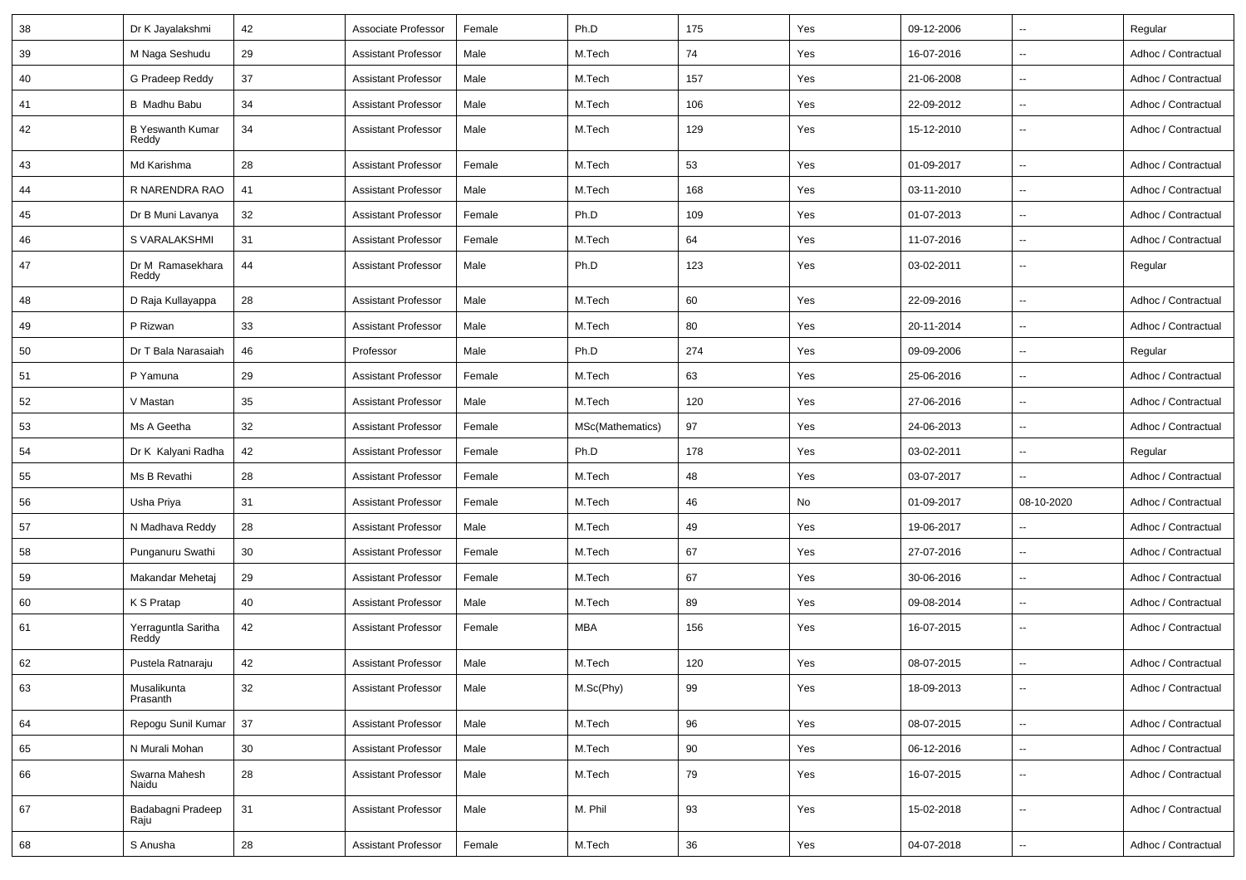| 38 | Dr K Jayalakshmi                 | 42     | Associate Professor        | Female | Ph.D             | 175 | Yes | 09-12-2006 | --                       | Regular             |
|----|----------------------------------|--------|----------------------------|--------|------------------|-----|-----|------------|--------------------------|---------------------|
| 39 | M Naga Seshudu                   | 29     | <b>Assistant Professor</b> | Male   | M.Tech           | 74  | Yes | 16-07-2016 | $\overline{\phantom{a}}$ | Adhoc / Contractual |
| 40 | G Pradeep Reddy                  | 37     | <b>Assistant Professor</b> | Male   | M.Tech           | 157 | Yes | 21-06-2008 | $\overline{\phantom{a}}$ | Adhoc / Contractual |
| 41 | <b>B</b> Madhu Babu              | 34     | <b>Assistant Professor</b> | Male   | M.Tech           | 106 | Yes | 22-09-2012 | --                       | Adhoc / Contractual |
| 42 | <b>B Yeswanth Kumar</b><br>Reddy | 34     | <b>Assistant Professor</b> | Male   | M.Tech           | 129 | Yes | 15-12-2010 | $\sim$                   | Adhoc / Contractual |
| 43 | Md Karishma                      | 28     | <b>Assistant Professor</b> | Female | M.Tech           | 53  | Yes | 01-09-2017 | $\overline{\phantom{a}}$ | Adhoc / Contractual |
| 44 | R NARENDRA RAO                   | 41     | <b>Assistant Professor</b> | Male   | M.Tech           | 168 | Yes | 03-11-2010 | --                       | Adhoc / Contractual |
| 45 | Dr B Muni Lavanya                | 32     | <b>Assistant Professor</b> | Female | Ph.D             | 109 | Yes | 01-07-2013 | --                       | Adhoc / Contractual |
| 46 | S VARALAKSHMI                    | 31     | <b>Assistant Professor</b> | Female | M.Tech           | 64  | Yes | 11-07-2016 | $\overline{\phantom{a}}$ | Adhoc / Contractual |
| 47 | Dr M Ramasekhara<br>Reddy        | 44     | <b>Assistant Professor</b> | Male   | Ph.D             | 123 | Yes | 03-02-2011 | $\overline{\phantom{a}}$ | Regular             |
| 48 | D Raja Kullayappa                | 28     | <b>Assistant Professor</b> | Male   | M.Tech           | 60  | Yes | 22-09-2016 | --                       | Adhoc / Contractual |
| 49 | P Rizwan                         | 33     | <b>Assistant Professor</b> | Male   | M.Tech           | 80  | Yes | 20-11-2014 | --                       | Adhoc / Contractual |
| 50 | Dr T Bala Narasaiah              | 46     | Professor                  | Male   | Ph.D             | 274 | Yes | 09-09-2006 | --                       | Regular             |
| 51 | P Yamuna                         | 29     | <b>Assistant Professor</b> | Female | M.Tech           | 63  | Yes | 25-06-2016 | --                       | Adhoc / Contractual |
| 52 | V Mastan                         | 35     | <b>Assistant Professor</b> | Male   | M.Tech           | 120 | Yes | 27-06-2016 | --                       | Adhoc / Contractual |
| 53 | Ms A Geetha                      | 32     | <b>Assistant Professor</b> | Female | MSc(Mathematics) | 97  | Yes | 24-06-2013 | ⊷.                       | Adhoc / Contractual |
| 54 | Dr K Kalyani Radha               | 42     | <b>Assistant Professor</b> | Female | Ph.D             | 178 | Yes | 03-02-2011 | --                       | Regular             |
| 55 | Ms B Revathi                     | 28     | <b>Assistant Professor</b> | Female | M.Tech           | 48  | Yes | 03-07-2017 |                          | Adhoc / Contractual |
| 56 | Usha Priya                       | 31     | <b>Assistant Professor</b> | Female | M.Tech           | 46  | No  | 01-09-2017 | 08-10-2020               | Adhoc / Contractual |
| 57 | N Madhava Reddy                  | 28     | <b>Assistant Professor</b> | Male   | M.Tech           | 49  | Yes | 19-06-2017 |                          | Adhoc / Contractual |
| 58 | Punganuru Swathi                 | 30     | <b>Assistant Professor</b> | Female | M.Tech           | 67  | Yes | 27-07-2016 | --                       | Adhoc / Contractual |
| 59 | Makandar Mehetaj                 | 29     | <b>Assistant Professor</b> | Female | M.Tech           | 67  | Yes | 30-06-2016 | -−                       | Adhoc / Contractual |
| 60 | K S Pratap                       | 40     | <b>Assistant Professor</b> | Male   | M.Tech           | 89  | Yes | 09-08-2014 | --                       | Adhoc / Contractual |
| 61 | Yerraguntla Saritha<br>Reddy     | 42     | <b>Assistant Professor</b> | Female | <b>MBA</b>       | 156 | Yes | 16-07-2015 | $\overline{\phantom{a}}$ | Adhoc / Contractual |
| 62 | Pustela Ratnaraju                | 42     | <b>Assistant Professor</b> | Male   | M.Tech           | 120 | Yes | 08-07-2015 |                          | Adhoc / Contractual |
| 63 | Musalikunta<br>Prasanth          | 32     | <b>Assistant Professor</b> | Male   | M.Sc(Phy)        | 99  | Yes | 18-09-2013 | $\overline{a}$           | Adhoc / Contractual |
| 64 | Repogu Sunil Kumar               | $37\,$ | <b>Assistant Professor</b> | Male   | M.Tech           | 96  | Yes | 08-07-2015 | Щ,                       | Adhoc / Contractual |
| 65 | N Murali Mohan                   | 30     | <b>Assistant Professor</b> | Male   | M.Tech           | 90  | Yes | 06-12-2016 | --                       | Adhoc / Contractual |
| 66 | Swarna Mahesh<br>Naidu           | 28     | <b>Assistant Professor</b> | Male   | M.Tech           | 79  | Yes | 16-07-2015 | $\overline{\phantom{a}}$ | Adhoc / Contractual |
| 67 | Badabagni Pradeep<br>Raju        | 31     | Assistant Professor        | Male   | M. Phil          | 93  | Yes | 15-02-2018 | Щ,                       | Adhoc / Contractual |
| 68 | S Anusha                         | 28     | <b>Assistant Professor</b> | Female | M.Tech           | 36  | Yes | 04-07-2018 | Щ,                       | Adhoc / Contractual |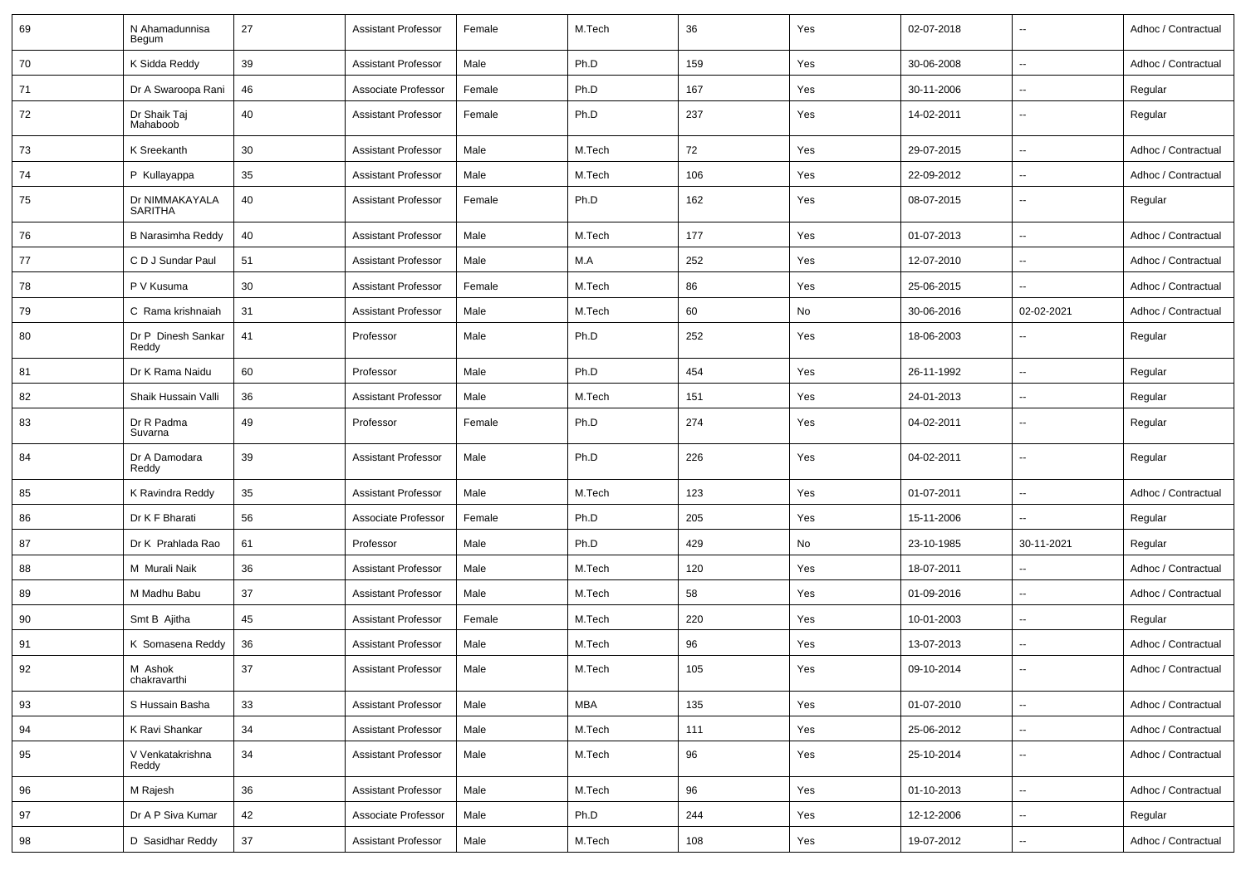| 69 | N Ahamadunnisa<br>Begum          | 27 | <b>Assistant Professor</b> | Female | M.Tech     | 36  | Yes | 02-07-2018 | $\overline{\phantom{a}}$ | Adhoc / Contractual |
|----|----------------------------------|----|----------------------------|--------|------------|-----|-----|------------|--------------------------|---------------------|
| 70 | K Sidda Reddy                    | 39 | <b>Assistant Professor</b> | Male   | Ph.D       | 159 | Yes | 30-06-2008 | $\sim$                   | Adhoc / Contractual |
| 71 | Dr A Swaroopa Rani               | 46 | Associate Professor        | Female | Ph.D       | 167 | Yes | 30-11-2006 | $\overline{\phantom{a}}$ | Regular             |
| 72 | Dr Shaik Taj<br>Mahaboob         | 40 | <b>Assistant Professor</b> | Female | Ph.D       | 237 | Yes | 14-02-2011 | $\sim$                   | Regular             |
| 73 | K Sreekanth                      | 30 | <b>Assistant Professor</b> | Male   | M.Tech     | 72  | Yes | 29-07-2015 | $\overline{\phantom{a}}$ | Adhoc / Contractual |
| 74 | P Kullayappa                     | 35 | <b>Assistant Professor</b> | Male   | M.Tech     | 106 | Yes | 22-09-2012 | $\overline{\phantom{a}}$ | Adhoc / Contractual |
| 75 | Dr NIMMAKAYALA<br><b>SARITHA</b> | 40 | <b>Assistant Professor</b> | Female | Ph.D       | 162 | Yes | 08-07-2015 | $\overline{\phantom{a}}$ | Regular             |
| 76 | <b>B Narasimha Reddy</b>         | 40 | <b>Assistant Professor</b> | Male   | M.Tech     | 177 | Yes | 01-07-2013 | $\overline{\phantom{a}}$ | Adhoc / Contractual |
| 77 | C D J Sundar Paul                | 51 | <b>Assistant Professor</b> | Male   | M.A        | 252 | Yes | 12-07-2010 | $\sim$                   | Adhoc / Contractual |
| 78 | P V Kusuma                       | 30 | <b>Assistant Professor</b> | Female | M.Tech     | 86  | Yes | 25-06-2015 | $\sim$                   | Adhoc / Contractual |
| 79 | C Rama krishnaiah                | 31 | <b>Assistant Professor</b> | Male   | M.Tech     | 60  | No  | 30-06-2016 | 02-02-2021               | Adhoc / Contractual |
| 80 | Dr P Dinesh Sankar<br>Reddy      | 41 | Professor                  | Male   | Ph.D       | 252 | Yes | 18-06-2003 | $\sim$                   | Regular             |
| 81 | Dr K Rama Naidu                  | 60 | Professor                  | Male   | Ph.D       | 454 | Yes | 26-11-1992 | $\sim$                   | Regular             |
| 82 | Shaik Hussain Valli              | 36 | <b>Assistant Professor</b> | Male   | M.Tech     | 151 | Yes | 24-01-2013 | $\overline{\phantom{a}}$ | Regular             |
| 83 | Dr R Padma<br>Suvarna            | 49 | Professor                  | Female | Ph.D       | 274 | Yes | 04-02-2011 | $\overline{\phantom{a}}$ | Regular             |
| 84 | Dr A Damodara<br>Reddy           | 39 | <b>Assistant Professor</b> | Male   | Ph.D       | 226 | Yes | 04-02-2011 | $\overline{\phantom{a}}$ | Regular             |
| 85 | K Ravindra Reddy                 | 35 | <b>Assistant Professor</b> | Male   | M.Tech     | 123 | Yes | 01-07-2011 | $\overline{\phantom{a}}$ | Adhoc / Contractual |
| 86 | Dr K F Bharati                   | 56 | Associate Professor        | Female | Ph.D       | 205 | Yes | 15-11-2006 | $\sim$                   | Regular             |
| 87 | Dr K Prahlada Rao                | 61 | Professor                  | Male   | Ph.D       | 429 | No  | 23-10-1985 | 30-11-2021               | Regular             |
| 88 | M Murali Naik                    | 36 | <b>Assistant Professor</b> | Male   | M.Tech     | 120 | Yes | 18-07-2011 | $\sim$                   | Adhoc / Contractual |
| 89 | M Madhu Babu                     | 37 | <b>Assistant Professor</b> | Male   | M.Tech     | 58  | Yes | 01-09-2016 | $\overline{\phantom{a}}$ | Adhoc / Contractual |
| 90 | Smt B Ajitha                     | 45 | <b>Assistant Professor</b> | Female | M.Tech     | 220 | Yes | 10-01-2003 | $\overline{\phantom{a}}$ | Regular             |
| 91 | K Somasena Reddy                 | 36 | <b>Assistant Professor</b> | Male   | M.Tech     | 96  | Yes | 13-07-2013 | $\overline{\phantom{a}}$ | Adhoc / Contractual |
| 92 | M Ashok<br>chakravarthi          | 37 | <b>Assistant Professor</b> | Male   | M.Tech     | 105 | Yes | 09-10-2014 |                          | Adhoc / Contractual |
| 93 | S Hussain Basha                  | 33 | <b>Assistant Professor</b> | Male   | <b>MBA</b> | 135 | Yes | 01-07-2010 | $\overline{\phantom{a}}$ | Adhoc / Contractual |
| 94 | K Ravi Shankar                   | 34 | <b>Assistant Professor</b> | Male   | M.Tech     | 111 | Yes | 25-06-2012 | $\sim$                   | Adhoc / Contractual |
| 95 | V Venkatakrishna<br>Reddy        | 34 | <b>Assistant Professor</b> | Male   | M.Tech     | 96  | Yes | 25-10-2014 | $\sim$                   | Adhoc / Contractual |
| 96 | M Rajesh                         | 36 | <b>Assistant Professor</b> | Male   | M.Tech     | 96  | Yes | 01-10-2013 | $\sim$                   | Adhoc / Contractual |
| 97 | Dr A P Siva Kumar                | 42 | Associate Professor        | Male   | Ph.D       | 244 | Yes | 12-12-2006 | $\overline{\phantom{a}}$ | Regular             |
| 98 | D Sasidhar Reddy                 | 37 | <b>Assistant Professor</b> | Male   | M.Tech     | 108 | Yes | 19-07-2012 | $\sim$                   | Adhoc / Contractual |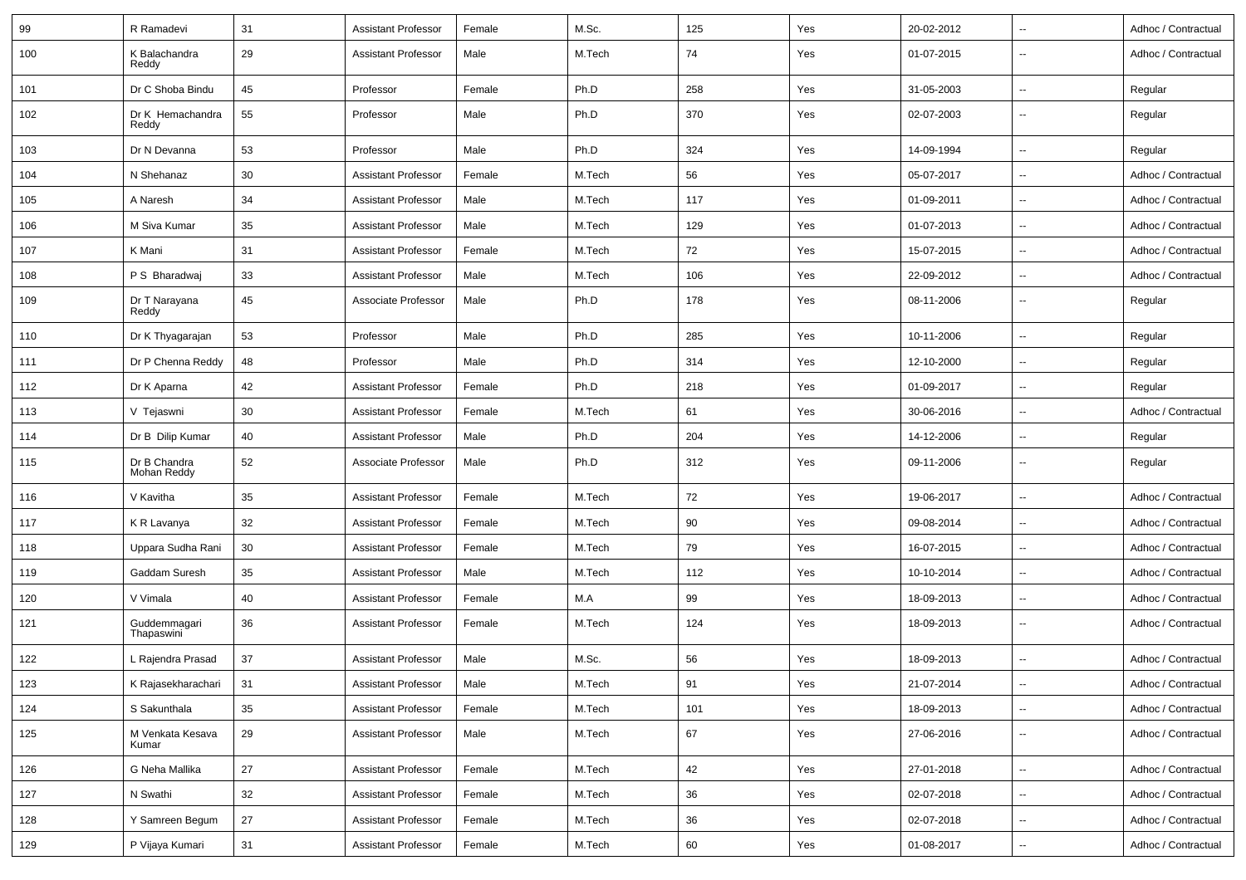| 99  | R Ramadevi                  | 31 | <b>Assistant Professor</b> | Female | M.Sc.  | 125 | Yes | 20-02-2012 | $\overline{\phantom{a}}$ | Adhoc / Contractual |
|-----|-----------------------------|----|----------------------------|--------|--------|-----|-----|------------|--------------------------|---------------------|
| 100 | K Balachandra<br>Reddy      | 29 | <b>Assistant Professor</b> | Male   | M.Tech | 74  | Yes | 01-07-2015 | --                       | Adhoc / Contractual |
| 101 | Dr C Shoba Bindu            | 45 | Professor                  | Female | Ph.D   | 258 | Yes | 31-05-2003 | $\overline{\phantom{a}}$ | Regular             |
| 102 | Dr K Hemachandra<br>Reddy   | 55 | Professor                  | Male   | Ph.D   | 370 | Yes | 02-07-2003 | $\overline{\phantom{a}}$ | Regular             |
| 103 | Dr N Devanna                | 53 | Professor                  | Male   | Ph.D   | 324 | Yes | 14-09-1994 | $\sim$                   | Regular             |
| 104 | N Shehanaz                  | 30 | <b>Assistant Professor</b> | Female | M.Tech | 56  | Yes | 05-07-2017 | --                       | Adhoc / Contractual |
| 105 | A Naresh                    | 34 | <b>Assistant Professor</b> | Male   | M.Tech | 117 | Yes | 01-09-2011 | $\overline{\phantom{a}}$ | Adhoc / Contractual |
| 106 | M Siva Kumar                | 35 | <b>Assistant Professor</b> | Male   | M.Tech | 129 | Yes | 01-07-2013 | $\overline{\phantom{a}}$ | Adhoc / Contractual |
| 107 | K Mani                      | 31 | <b>Assistant Professor</b> | Female | M.Tech | 72  | Yes | 15-07-2015 | $\overline{\phantom{a}}$ | Adhoc / Contractual |
| 108 | P S Bharadwaj               | 33 | <b>Assistant Professor</b> | Male   | M.Tech | 106 | Yes | 22-09-2012 | $\overline{\phantom{a}}$ | Adhoc / Contractual |
| 109 | Dr T Narayana<br>Reddy      | 45 | Associate Professor        | Male   | Ph.D   | 178 | Yes | 08-11-2006 | $\overline{\phantom{a}}$ | Regular             |
| 110 | Dr K Thyagarajan            | 53 | Professor                  | Male   | Ph.D   | 285 | Yes | 10-11-2006 | $\sim$                   | Regular             |
| 111 | Dr P Chenna Reddy           | 48 | Professor                  | Male   | Ph.D   | 314 | Yes | 12-10-2000 | --                       | Regular             |
| 112 | Dr K Aparna                 | 42 | <b>Assistant Professor</b> | Female | Ph.D   | 218 | Yes | 01-09-2017 | $\overline{\phantom{a}}$ | Regular             |
| 113 | V Tejaswni                  | 30 | <b>Assistant Professor</b> | Female | M.Tech | 61  | Yes | 30-06-2016 | $\ddotsc$                | Adhoc / Contractual |
| 114 | Dr B Dilip Kumar            | 40 | <b>Assistant Professor</b> | Male   | Ph.D   | 204 | Yes | 14-12-2006 | $\overline{\phantom{a}}$ | Regular             |
| 115 | Dr B Chandra<br>Mohan Reddy | 52 | Associate Professor        | Male   | Ph.D   | 312 | Yes | 09-11-2006 | $\overline{\phantom{a}}$ | Regular             |
| 116 | V Kavitha                   | 35 | <b>Assistant Professor</b> | Female | M.Tech | 72  | Yes | 19-06-2017 | $\overline{\phantom{a}}$ | Adhoc / Contractual |
| 117 | K R Lavanya                 | 32 | <b>Assistant Professor</b> | Female | M.Tech | 90  | Yes | 09-08-2014 | $\overline{\phantom{a}}$ | Adhoc / Contractual |
| 118 | Uppara Sudha Rani           | 30 | <b>Assistant Professor</b> | Female | M.Tech | 79  | Yes | 16-07-2015 | $\overline{\phantom{a}}$ | Adhoc / Contractual |
| 119 | Gaddam Suresh               | 35 | <b>Assistant Professor</b> | Male   | M.Tech | 112 | Yes | 10-10-2014 | $\overline{\phantom{a}}$ | Adhoc / Contractual |
| 120 | V Vimala                    | 40 | <b>Assistant Professor</b> | Female | M.A    | 99  | Yes | 18-09-2013 | $\overline{\phantom{a}}$ | Adhoc / Contractual |
| 121 | Guddemmagari<br>Thapaswini  | 36 | <b>Assistant Professor</b> | Female | M.Tech | 124 | Yes | 18-09-2013 | $\overline{\phantom{a}}$ | Adhoc / Contractual |
| 122 | L Rajendra Prasad           | 37 | <b>Assistant Professor</b> | Male   | M.Sc.  | 56  | Yes | 18-09-2013 | $\overline{\phantom{a}}$ | Adhoc / Contractual |
| 123 | K Rajasekharachari          | 31 | <b>Assistant Professor</b> | Male   | M.Tech | 91  | Yes | 21-07-2014 | $\overline{\phantom{a}}$ | Adhoc / Contractual |
| 124 | S Sakunthala                | 35 | <b>Assistant Professor</b> | Female | M.Tech | 101 | Yes | 18-09-2013 | $\overline{\phantom{a}}$ | Adhoc / Contractual |
| 125 | M Venkata Kesava<br>Kumar   | 29 | <b>Assistant Professor</b> | Male   | M.Tech | 67  | Yes | 27-06-2016 | $\overline{\phantom{a}}$ | Adhoc / Contractual |
| 126 | G Neha Mallika              | 27 | <b>Assistant Professor</b> | Female | M.Tech | 42  | Yes | 27-01-2018 | $\overline{\phantom{a}}$ | Adhoc / Contractual |
| 127 | N Swathi                    | 32 | <b>Assistant Professor</b> | Female | M.Tech | 36  | Yes | 02-07-2018 | $\overline{\phantom{a}}$ | Adhoc / Contractual |
| 128 | Y Samreen Begum             | 27 | <b>Assistant Professor</b> | Female | M.Tech | 36  | Yes | 02-07-2018 | $\overline{\phantom{a}}$ | Adhoc / Contractual |
| 129 | P Vijaya Kumari             | 31 | <b>Assistant Professor</b> | Female | M.Tech | 60  | Yes | 01-08-2017 | $\overline{\phantom{a}}$ | Adhoc / Contractual |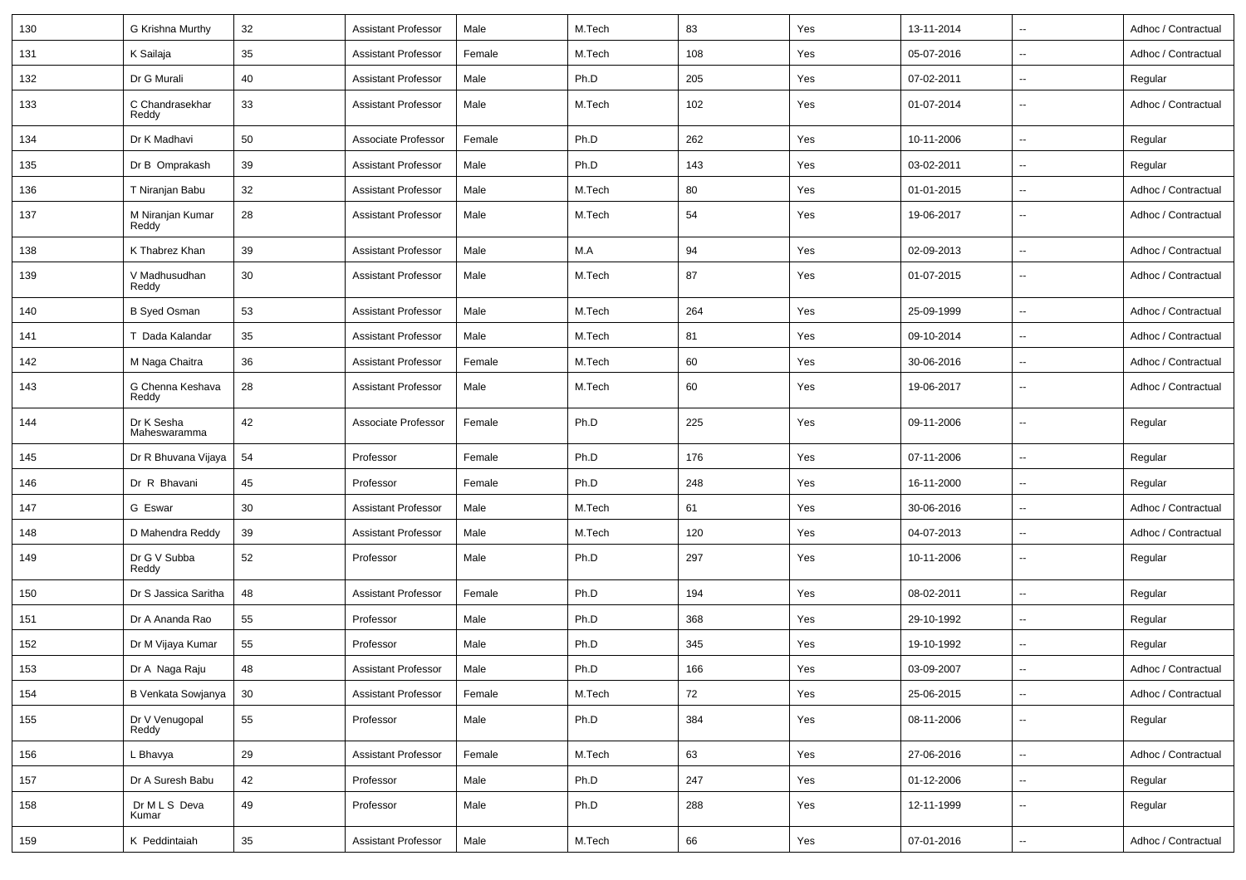| 130 | G Krishna Murthy           | 32     | <b>Assistant Professor</b> | Male   | M.Tech | 83  | Yes | 13-11-2014 | $\overline{\phantom{a}}$ | Adhoc / Contractual |
|-----|----------------------------|--------|----------------------------|--------|--------|-----|-----|------------|--------------------------|---------------------|
| 131 | K Sailaja                  | 35     | <b>Assistant Professor</b> | Female | M.Tech | 108 | Yes | 05-07-2016 | $\overline{\phantom{a}}$ | Adhoc / Contractual |
| 132 | Dr G Murali                | 40     | <b>Assistant Professor</b> | Male   | Ph.D   | 205 | Yes | 07-02-2011 | $\sim$                   | Regular             |
| 133 | C Chandrasekhar<br>Reddy   | 33     | <b>Assistant Professor</b> | Male   | M.Tech | 102 | Yes | 01-07-2014 | $\sim$                   | Adhoc / Contractual |
| 134 | Dr K Madhavi               | 50     | Associate Professor        | Female | Ph.D   | 262 | Yes | 10-11-2006 | $\overline{\phantom{a}}$ | Regular             |
| 135 | Dr B Omprakash             | 39     | <b>Assistant Professor</b> | Male   | Ph.D   | 143 | Yes | 03-02-2011 | $\overline{\phantom{a}}$ | Regular             |
| 136 | T Niranjan Babu            | 32     | <b>Assistant Professor</b> | Male   | M.Tech | 80  | Yes | 01-01-2015 | $\overline{\phantom{a}}$ | Adhoc / Contractual |
| 137 | M Niranjan Kumar<br>Reddy  | 28     | <b>Assistant Professor</b> | Male   | M.Tech | 54  | Yes | 19-06-2017 | $\overline{\phantom{a}}$ | Adhoc / Contractual |
| 138 | K Thabrez Khan             | 39     | <b>Assistant Professor</b> | Male   | M.A    | 94  | Yes | 02-09-2013 | $\sim$                   | Adhoc / Contractual |
| 139 | V Madhusudhan<br>Reddy     | 30     | <b>Assistant Professor</b> | Male   | M.Tech | 87  | Yes | 01-07-2015 | $\overline{\phantom{a}}$ | Adhoc / Contractual |
| 140 | <b>B Syed Osman</b>        | 53     | <b>Assistant Professor</b> | Male   | M.Tech | 264 | Yes | 25-09-1999 | $\overline{\phantom{a}}$ | Adhoc / Contractual |
| 141 | T Dada Kalandar            | 35     | <b>Assistant Professor</b> | Male   | M.Tech | 81  | Yes | 09-10-2014 | $\sim$                   | Adhoc / Contractual |
| 142 | M Naga Chaitra             | 36     | <b>Assistant Professor</b> | Female | M.Tech | 60  | Yes | 30-06-2016 | $\overline{\phantom{a}}$ | Adhoc / Contractual |
| 143 | G Chenna Keshava<br>Reddy  | 28     | <b>Assistant Professor</b> | Male   | M.Tech | 60  | Yes | 19-06-2017 | $\overline{\phantom{a}}$ | Adhoc / Contractual |
| 144 | Dr K Sesha<br>Maheswaramma | 42     | Associate Professor        | Female | Ph.D   | 225 | Yes | 09-11-2006 |                          | Regular             |
| 145 | Dr R Bhuvana Vijaya        | 54     | Professor                  | Female | Ph.D   | 176 | Yes | 07-11-2006 | $\overline{\phantom{a}}$ | Regular             |
| 146 | Dr R Bhavani               | 45     | Professor                  | Female | Ph.D   | 248 | Yes | 16-11-2000 | $\sim$                   | Regular             |
| 147 | G Eswar                    | 30     | <b>Assistant Professor</b> | Male   | M.Tech | 61  | Yes | 30-06-2016 | $\overline{\phantom{a}}$ | Adhoc / Contractual |
| 148 | D Mahendra Reddy           | 39     | <b>Assistant Professor</b> | Male   | M.Tech | 120 | Yes | 04-07-2013 | $\sim$                   | Adhoc / Contractual |
| 149 | Dr G V Subba<br>Reddy      | 52     | Professor                  | Male   | Ph.D   | 297 | Yes | 10-11-2006 | $\sim$                   | Regular             |
| 150 | Dr S Jassica Saritha       | 48     | <b>Assistant Professor</b> | Female | Ph.D   | 194 | Yes | 08-02-2011 | $\overline{\phantom{a}}$ | Regular             |
| 151 | Dr A Ananda Rao            | 55     | Professor                  | Male   | Ph.D   | 368 | Yes | 29-10-1992 | $\overline{\phantom{a}}$ | Regular             |
| 152 | Dr M Vijaya Kumar          | 55     | Professor                  | Male   | Ph.D   | 345 | Yes | 19-10-1992 |                          | Regular             |
| 153 | Dr A Naga Raju             | 48     | <b>Assistant Professor</b> | Male   | Ph.D   | 166 | Yes | 03-09-2007 |                          | Adhoc / Contractual |
| 154 | B Venkata Sowjanya         | 30     | <b>Assistant Professor</b> | Female | M.Tech | 72  | Yes | 25-06-2015 | $\overline{\phantom{a}}$ | Adhoc / Contractual |
| 155 | Dr V Venugopal<br>Reddy    | 55     | Professor                  | Male   | Ph.D   | 384 | Yes | 08-11-2006 | $\overline{\phantom{a}}$ | Regular             |
| 156 | L Bhavya                   | 29     | <b>Assistant Professor</b> | Female | M.Tech | 63  | Yes | 27-06-2016 | $\sim$                   | Adhoc / Contractual |
| 157 | Dr A Suresh Babu           | 42     | Professor                  | Male   | Ph.D   | 247 | Yes | 01-12-2006 | $\overline{\phantom{a}}$ | Regular             |
| 158 | Dr M L S Deva<br>Kumar     | 49     | Professor                  | Male   | Ph.D   | 288 | Yes | 12-11-1999 | $\sim$                   | Regular             |
| 159 | K Peddintaiah              | $35\,$ | <b>Assistant Professor</b> | Male   | M.Tech | 66  | Yes | 07-01-2016 | $\sim$                   | Adhoc / Contractual |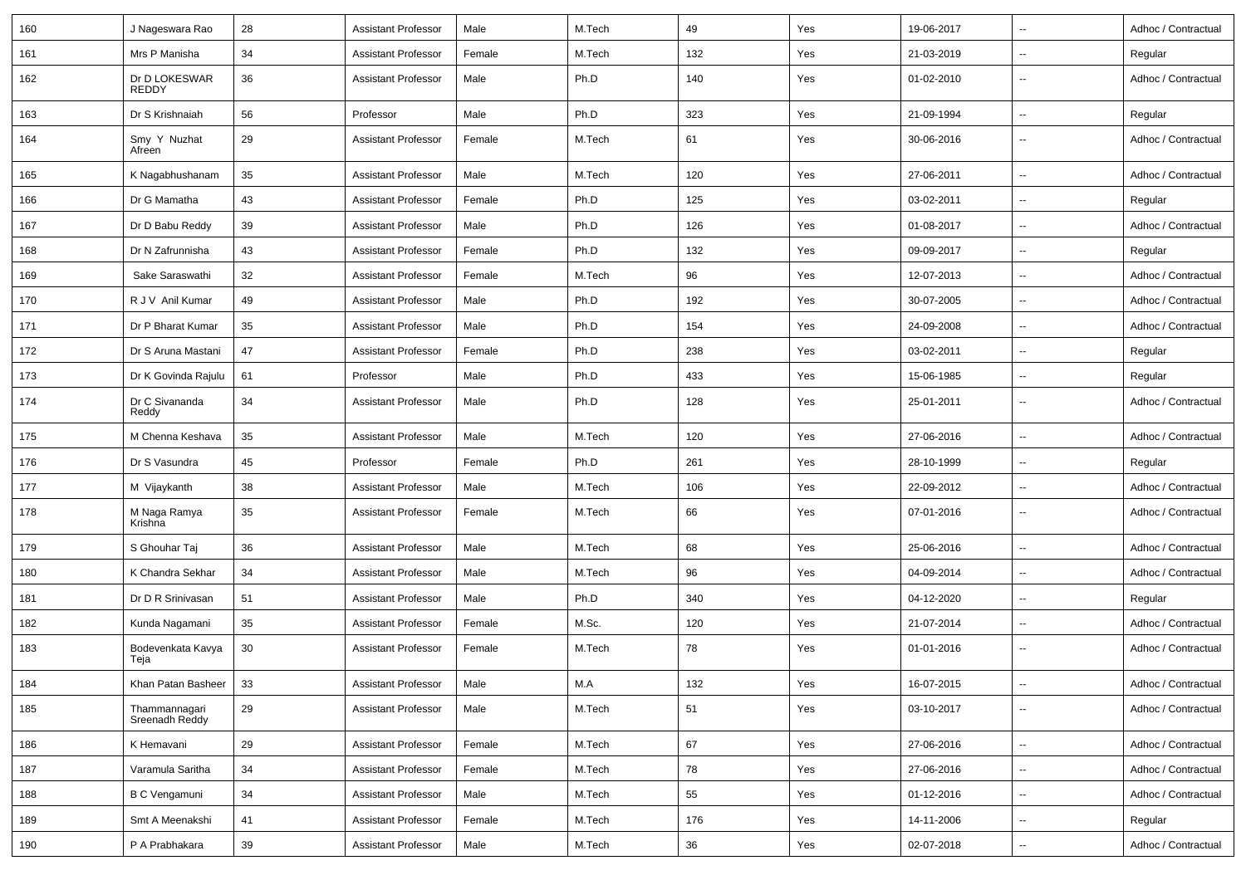| 160 | J Nageswara Rao                 | 28 | <b>Assistant Professor</b> | Male   | M.Tech | 49  | Yes | 19-06-2017 | $\overline{\phantom{a}}$ | Adhoc / Contractual |
|-----|---------------------------------|----|----------------------------|--------|--------|-----|-----|------------|--------------------------|---------------------|
| 161 | Mrs P Manisha                   | 34 | <b>Assistant Professor</b> | Female | M.Tech | 132 | Yes | 21-03-2019 | $\overline{\phantom{a}}$ | Regular             |
| 162 | Dr D LOKESWAR<br><b>REDDY</b>   | 36 | <b>Assistant Professor</b> | Male   | Ph.D   | 140 | Yes | 01-02-2010 | $\sim$                   | Adhoc / Contractual |
| 163 | Dr S Krishnaiah                 | 56 | Professor                  | Male   | Ph.D   | 323 | Yes | 21-09-1994 | $\overline{\phantom{a}}$ | Regular             |
| 164 | Smy Y Nuzhat<br>Afreen          | 29 | <b>Assistant Professor</b> | Female | M.Tech | 61  | Yes | 30-06-2016 | $\overline{\phantom{a}}$ | Adhoc / Contractual |
| 165 | K Nagabhushanam                 | 35 | <b>Assistant Professor</b> | Male   | M.Tech | 120 | Yes | 27-06-2011 | $\overline{\phantom{a}}$ | Adhoc / Contractual |
| 166 | Dr G Mamatha                    | 43 | <b>Assistant Professor</b> | Female | Ph.D   | 125 | Yes | 03-02-2011 | $\overline{\phantom{a}}$ | Regular             |
| 167 | Dr D Babu Reddy                 | 39 | <b>Assistant Professor</b> | Male   | Ph.D   | 126 | Yes | 01-08-2017 | $\ddotsc$                | Adhoc / Contractual |
| 168 | Dr N Zafrunnisha                | 43 | <b>Assistant Professor</b> | Female | Ph.D   | 132 | Yes | 09-09-2017 | $\overline{\phantom{a}}$ | Regular             |
| 169 | Sake Saraswathi                 | 32 | <b>Assistant Professor</b> | Female | M.Tech | 96  | Yes | 12-07-2013 | $\sim$                   | Adhoc / Contractual |
| 170 | R J V Anil Kumar                | 49 | <b>Assistant Professor</b> | Male   | Ph.D   | 192 | Yes | 30-07-2005 | Ξ.                       | Adhoc / Contractual |
| 171 | Dr P Bharat Kumar               | 35 | <b>Assistant Professor</b> | Male   | Ph.D   | 154 | Yes | 24-09-2008 | --                       | Adhoc / Contractual |
| 172 | Dr S Aruna Mastani              | 47 | <b>Assistant Professor</b> | Female | Ph.D   | 238 | Yes | 03-02-2011 | $\overline{\phantom{a}}$ | Regular             |
| 173 | Dr K Govinda Rajulu             | 61 | Professor                  | Male   | Ph.D   | 433 | Yes | 15-06-1985 | $\overline{\phantom{a}}$ | Regular             |
| 174 | Dr C Sivananda<br>Reddy         | 34 | <b>Assistant Professor</b> | Male   | Ph.D   | 128 | Yes | 25-01-2011 | $\overline{\phantom{a}}$ | Adhoc / Contractual |
| 175 | M Chenna Keshava                | 35 | <b>Assistant Professor</b> | Male   | M.Tech | 120 | Yes | 27-06-2016 | $\overline{\phantom{a}}$ | Adhoc / Contractual |
| 176 | Dr S Vasundra                   | 45 | Professor                  | Female | Ph.D   | 261 | Yes | 28-10-1999 | $\overline{\phantom{a}}$ | Regular             |
| 177 | M Vijaykanth                    | 38 | <b>Assistant Professor</b> | Male   | M.Tech | 106 | Yes | 22-09-2012 | $\overline{\phantom{a}}$ | Adhoc / Contractual |
| 178 | M Naga Ramya<br>Krishna         | 35 | <b>Assistant Professor</b> | Female | M.Tech | 66  | Yes | 07-01-2016 | $\overline{\phantom{a}}$ | Adhoc / Contractual |
| 179 | S Ghouhar Taj                   | 36 | <b>Assistant Professor</b> | Male   | M.Tech | 68  | Yes | 25-06-2016 | $\overline{\phantom{a}}$ | Adhoc / Contractual |
| 180 | K Chandra Sekhar                | 34 | <b>Assistant Professor</b> | Male   | M.Tech | 96  | Yes | 04-09-2014 | $\overline{\phantom{a}}$ | Adhoc / Contractual |
| 181 | Dr D R Srinivasan               | 51 | <b>Assistant Professor</b> | Male   | Ph.D   | 340 | Yes | 04-12-2020 | $\sim$                   | Regular             |
| 182 | Kunda Nagamani                  | 35 | <b>Assistant Professor</b> | Female | M.Sc.  | 120 | Yes | 21-07-2014 | $\overline{\phantom{a}}$ | Adhoc / Contractual |
| 183 | Bodevenkata Kavya<br>Teja       | 30 | <b>Assistant Professor</b> | Female | M.Tech | 78  | Yes | 01-01-2016 | $\overline{\phantom{a}}$ | Adhoc / Contractual |
| 184 | Khan Patan Basheer   33         |    | <b>Assistant Professor</b> | Male   | M.A    | 132 | Yes | 16-07-2015 | $\sim$                   | Adhoc / Contractual |
| 185 | Thammannagari<br>Sreenadh Reddy | 29 | <b>Assistant Professor</b> | Male   | M.Tech | 51  | Yes | 03-10-2017 | $\overline{\phantom{a}}$ | Adhoc / Contractual |
| 186 | K Hemavani                      | 29 | <b>Assistant Professor</b> | Female | M.Tech | 67  | Yes | 27-06-2016 | $\sim$                   | Adhoc / Contractual |
| 187 | Varamula Saritha                | 34 | <b>Assistant Professor</b> | Female | M.Tech | 78  | Yes | 27-06-2016 | $\overline{\phantom{a}}$ | Adhoc / Contractual |
| 188 | <b>B C Vengamuni</b>            | 34 | <b>Assistant Professor</b> | Male   | M.Tech | 55  | Yes | 01-12-2016 | $\overline{\phantom{a}}$ | Adhoc / Contractual |
| 189 | Smt A Meenakshi                 | 41 | <b>Assistant Professor</b> | Female | M.Tech | 176 | Yes | 14-11-2006 | $\overline{\phantom{a}}$ | Regular             |
| 190 | P A Prabhakara                  | 39 | <b>Assistant Professor</b> | Male   | M.Tech | 36  | Yes | 02-07-2018 | $\overline{\phantom{a}}$ | Adhoc / Contractual |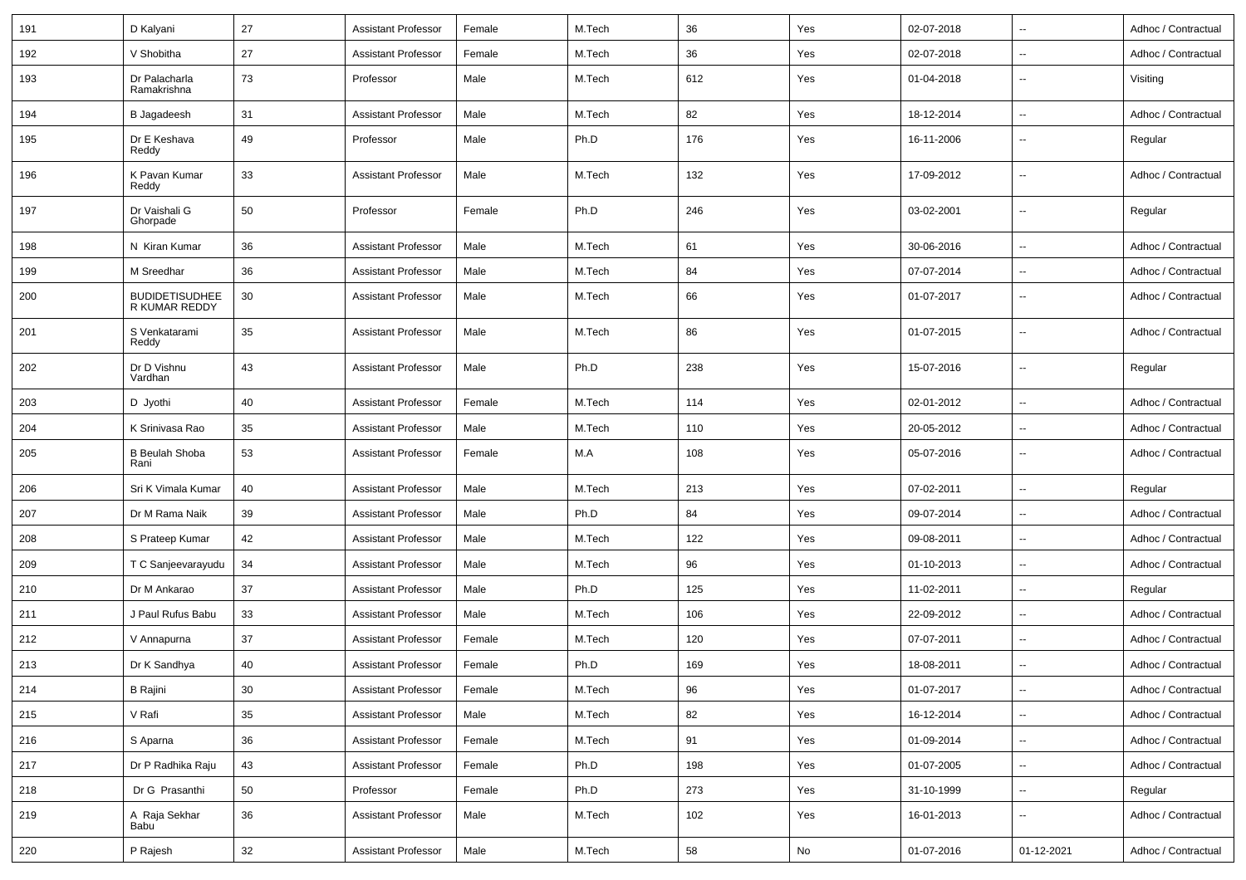| 191 | D Kalyani                                     | 27 | <b>Assistant Professor</b> | Female | M.Tech | 36  | Yes | 02-07-2018 | $\overline{\phantom{a}}$ | Adhoc / Contractual |
|-----|-----------------------------------------------|----|----------------------------|--------|--------|-----|-----|------------|--------------------------|---------------------|
| 192 | V Shobitha                                    | 27 | <b>Assistant Professor</b> | Female | M.Tech | 36  | Yes | 02-07-2018 | $\overline{\phantom{a}}$ | Adhoc / Contractual |
| 193 | Dr Palacharla<br>Ramakrishna                  | 73 | Professor                  | Male   | M.Tech | 612 | Yes | 01-04-2018 | $\sim$                   | Visiting            |
| 194 | <b>B</b> Jagadeesh                            | 31 | <b>Assistant Professor</b> | Male   | M.Tech | 82  | Yes | 18-12-2014 | $\overline{\phantom{a}}$ | Adhoc / Contractual |
| 195 | Dr E Keshava<br>Reddy                         | 49 | Professor                  | Male   | Ph.D   | 176 | Yes | 16-11-2006 | $\overline{\phantom{a}}$ | Regular             |
| 196 | K Pavan Kumar<br>Reddy                        | 33 | <b>Assistant Professor</b> | Male   | M.Tech | 132 | Yes | 17-09-2012 | $\overline{\phantom{a}}$ | Adhoc / Contractual |
| 197 | Dr Vaishali G<br>Ghorpade                     | 50 | Professor                  | Female | Ph.D   | 246 | Yes | 03-02-2001 | $\sim$                   | Regular             |
| 198 | N Kiran Kumar                                 | 36 | <b>Assistant Professor</b> | Male   | M.Tech | 61  | Yes | 30-06-2016 | $\sim$                   | Adhoc / Contractual |
| 199 | M Sreedhar                                    | 36 | <b>Assistant Professor</b> | Male   | M.Tech | 84  | Yes | 07-07-2014 | $\overline{\phantom{a}}$ | Adhoc / Contractual |
| 200 | <b>BUDIDETISUDHEE</b><br><b>R KUMAR REDDY</b> | 30 | <b>Assistant Professor</b> | Male   | M.Tech | 66  | Yes | 01-07-2017 | $\sim$                   | Adhoc / Contractual |
| 201 | S Venkatarami<br>Reddy                        | 35 | <b>Assistant Professor</b> | Male   | M.Tech | 86  | Yes | 01-07-2015 | $\overline{\phantom{a}}$ | Adhoc / Contractual |
| 202 | Dr D Vishnu<br>Vardhan                        | 43 | <b>Assistant Professor</b> | Male   | Ph.D   | 238 | Yes | 15-07-2016 | $\sim$                   | Regular             |
| 203 | D Jyothi                                      | 40 | <b>Assistant Professor</b> | Female | M.Tech | 114 | Yes | 02-01-2012 | $\overline{\phantom{a}}$ | Adhoc / Contractual |
| 204 | K Srinivasa Rao                               | 35 | <b>Assistant Professor</b> | Male   | M.Tech | 110 | Yes | 20-05-2012 | $\sim$                   | Adhoc / Contractual |
| 205 | <b>B Beulah Shoba</b><br>Rani                 | 53 | <b>Assistant Professor</b> | Female | M.A    | 108 | Yes | 05-07-2016 |                          | Adhoc / Contractual |
| 206 | Sri K Vimala Kumar                            | 40 | <b>Assistant Professor</b> | Male   | M.Tech | 213 | Yes | 07-02-2011 |                          | Regular             |
| 207 | Dr M Rama Naik                                | 39 | <b>Assistant Professor</b> | Male   | Ph.D   | 84  | Yes | 09-07-2014 | $\overline{\phantom{a}}$ | Adhoc / Contractual |
| 208 | S Prateep Kumar                               | 42 | <b>Assistant Professor</b> | Male   | M.Tech | 122 | Yes | 09-08-2011 | $\overline{\phantom{a}}$ | Adhoc / Contractual |
| 209 | T C Sanjeevarayudu                            | 34 | <b>Assistant Professor</b> | Male   | M.Tech | 96  | Yes | 01-10-2013 | $\overline{\phantom{a}}$ | Adhoc / Contractual |
| 210 | Dr M Ankarao                                  | 37 | <b>Assistant Professor</b> | Male   | Ph.D   | 125 | Yes | 11-02-2011 | $\sim$                   | Regular             |
| 211 | J Paul Rufus Babu                             | 33 | <b>Assistant Professor</b> | Male   | M.Tech | 106 | Yes | 22-09-2012 | $\sim$                   | Adhoc / Contractual |
| 212 | V Annapurna                                   | 37 | <b>Assistant Professor</b> | Female | M.Tech | 120 | Yes | 07-07-2011 | $\overline{\phantom{a}}$ | Adhoc / Contractual |
| 213 | Dr K Sandhya                                  | 40 | <b>Assistant Professor</b> | Female | Ph.D   | 169 | Yes | 18-08-2011 |                          | Adhoc / Contractual |
| 214 | <b>B</b> Rajini                               | 30 | <b>Assistant Professor</b> | Female | M.Tech | 96  | Yes | 01-07-2017 | $\overline{\phantom{a}}$ | Adhoc / Contractual |
| 215 | V Rafi                                        | 35 | <b>Assistant Professor</b> | Male   | M.Tech | 82  | Yes | 16-12-2014 | $\overline{\phantom{a}}$ | Adhoc / Contractual |
| 216 | S Aparna                                      | 36 | <b>Assistant Professor</b> | Female | M.Tech | 91  | Yes | 01-09-2014 | $\overline{\phantom{a}}$ | Adhoc / Contractual |
| 217 | Dr P Radhika Raju                             | 43 | <b>Assistant Professor</b> | Female | Ph.D   | 198 | Yes | 01-07-2005 | $\overline{\phantom{a}}$ | Adhoc / Contractual |
| 218 | Dr G Prasanthi                                | 50 | Professor                  | Female | Ph.D   | 273 | Yes | 31-10-1999 | $\sim$                   | Regular             |
| 219 | A Raja Sekhar<br>Babu <sup>1</sup>            | 36 | <b>Assistant Professor</b> | Male   | M.Tech | 102 | Yes | 16-01-2013 | $\ddot{\phantom{1}}$     | Adhoc / Contractual |
| 220 | P Rajesh                                      | 32 | <b>Assistant Professor</b> | Male   | M.Tech | 58  | No  | 01-07-2016 | 01-12-2021               | Adhoc / Contractual |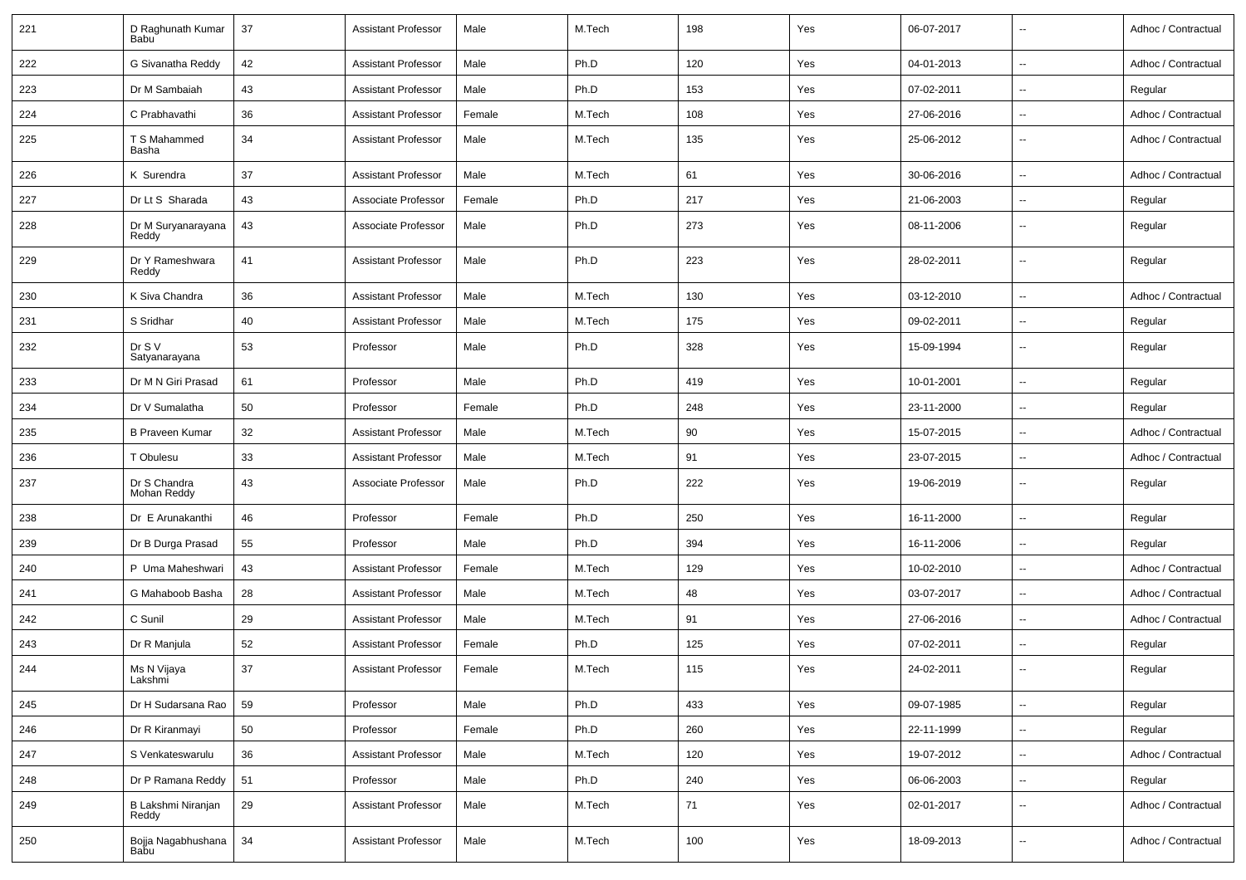| 221 | D Raghunath Kumar<br>Babu   | 37 | <b>Assistant Professor</b> | Male   | M.Tech | 198 | Yes | 06-07-2017 | $\overline{\phantom{a}}$ | Adhoc / Contractual |
|-----|-----------------------------|----|----------------------------|--------|--------|-----|-----|------------|--------------------------|---------------------|
| 222 | G Sivanatha Reddy           | 42 | <b>Assistant Professor</b> | Male   | Ph.D   | 120 | Yes | 04-01-2013 | $\sim$                   | Adhoc / Contractual |
| 223 | Dr M Sambaiah               | 43 | <b>Assistant Professor</b> | Male   | Ph.D   | 153 | Yes | 07-02-2011 | $\overline{\phantom{a}}$ | Regular             |
| 224 | C Prabhavathi               | 36 | <b>Assistant Professor</b> | Female | M.Tech | 108 | Yes | 27-06-2016 | $\overline{\phantom{a}}$ | Adhoc / Contractual |
| 225 | T S Mahammed<br>Basha       | 34 | <b>Assistant Professor</b> | Male   | M.Tech | 135 | Yes | 25-06-2012 | $\overline{\phantom{a}}$ | Adhoc / Contractual |
| 226 | K Surendra                  | 37 | <b>Assistant Professor</b> | Male   | M.Tech | 61  | Yes | 30-06-2016 | $\overline{\phantom{a}}$ | Adhoc / Contractual |
| 227 | Dr Lt S Sharada             | 43 | Associate Professor        | Female | Ph.D   | 217 | Yes | 21-06-2003 | $\overline{\phantom{a}}$ | Regular             |
| 228 | Dr M Suryanarayana<br>Reddy | 43 | Associate Professor        | Male   | Ph.D   | 273 | Yes | 08-11-2006 | $\sim$                   | Regular             |
| 229 | Dr Y Rameshwara<br>Reddy    | 41 | <b>Assistant Professor</b> | Male   | Ph.D   | 223 | Yes | 28-02-2011 | $\sim$                   | Regular             |
| 230 | K Siva Chandra              | 36 | <b>Assistant Professor</b> | Male   | M.Tech | 130 | Yes | 03-12-2010 | $\sim$                   | Adhoc / Contractual |
| 231 | S Sridhar                   | 40 | <b>Assistant Professor</b> | Male   | M.Tech | 175 | Yes | 09-02-2011 | $\sim$                   | Regular             |
| 232 | Dr S V<br>Satyanarayana     | 53 | Professor                  | Male   | Ph.D   | 328 | Yes | 15-09-1994 | $\overline{\phantom{a}}$ | Regular             |
| 233 | Dr M N Giri Prasad          | 61 | Professor                  | Male   | Ph.D   | 419 | Yes | 10-01-2001 | $\mathbf{u}$             | Regular             |
| 234 | Dr V Sumalatha              | 50 | Professor                  | Female | Ph.D   | 248 | Yes | 23-11-2000 | $\sim$                   | Regular             |
| 235 | <b>B Praveen Kumar</b>      | 32 | <b>Assistant Professor</b> | Male   | M.Tech | 90  | Yes | 15-07-2015 | $\sim$                   | Adhoc / Contractual |
| 236 | T Obulesu                   | 33 | <b>Assistant Professor</b> | Male   | M.Tech | 91  | Yes | 23-07-2015 | $\overline{\phantom{a}}$ | Adhoc / Contractual |
| 237 | Dr S Chandra<br>Mohan Reddy | 43 | Associate Professor        | Male   | Ph.D   | 222 | Yes | 19-06-2019 | $\sim$                   | Regular             |
| 238 | Dr E Arunakanthi            | 46 | Professor                  | Female | Ph.D   | 250 | Yes | 16-11-2000 | $\sim$                   | Regular             |
| 239 | Dr B Durga Prasad           | 55 | Professor                  | Male   | Ph.D   | 394 | Yes | 16-11-2006 | $\sim$                   | Regular             |
| 240 | P Uma Maheshwari            | 43 | <b>Assistant Professor</b> | Female | M.Tech | 129 | Yes | 10-02-2010 | $\overline{\phantom{a}}$ | Adhoc / Contractual |
| 241 | G Mahaboob Basha            | 28 | <b>Assistant Professor</b> | Male   | M.Tech | 48  | Yes | 03-07-2017 | $\overline{\phantom{a}}$ | Adhoc / Contractual |
| 242 | C Sunil                     | 29 | <b>Assistant Professor</b> | Male   | M.Tech | 91  | Yes | 27-06-2016 | $\overline{\phantom{a}}$ | Adhoc / Contractual |
| 243 | Dr R Manjula                | 52 | <b>Assistant Professor</b> | Female | Ph.D   | 125 | Yes | 07-02-2011 | $\overline{\phantom{a}}$ | Regular             |
| 244 | Ms N Vijaya<br>Laksnini     | 37 | <b>Assistant Professor</b> | Female | M.Tech | 115 | Yes | 24-02-2011 | $\overline{\phantom{a}}$ | Regular             |
| 245 | Dr H Sudarsana Rao          | 59 | Professor                  | Male   | Ph.D   | 433 | Yes | 09-07-1985 | $\sim$                   | Regular             |
| 246 | Dr R Kiranmayi              | 50 | Professor                  | Female | Ph.D   | 260 | Yes | 22-11-1999 | $\sim$                   | Regular             |
| 247 | S Venkateswarulu            | 36 | <b>Assistant Professor</b> | Male   | M.Tech | 120 | Yes | 19-07-2012 | $\sim$                   | Adhoc / Contractual |
| 248 | Dr P Ramana Reddy           | 51 | Professor                  | Male   | Ph.D   | 240 | Yes | 06-06-2003 | $\sim$                   | Regular             |
| 249 | B Lakshmi Niranjan<br>Reddy | 29 | <b>Assistant Professor</b> | Male   | M.Tech | 71  | Yes | 02-01-2017 | $\sim$                   | Adhoc / Contractual |
| 250 | Bojja Nagabhushana<br>Babu  | 34 | <b>Assistant Professor</b> | Male   | M.Tech | 100 | Yes | 18-09-2013 | $\sim$                   | Adhoc / Contractual |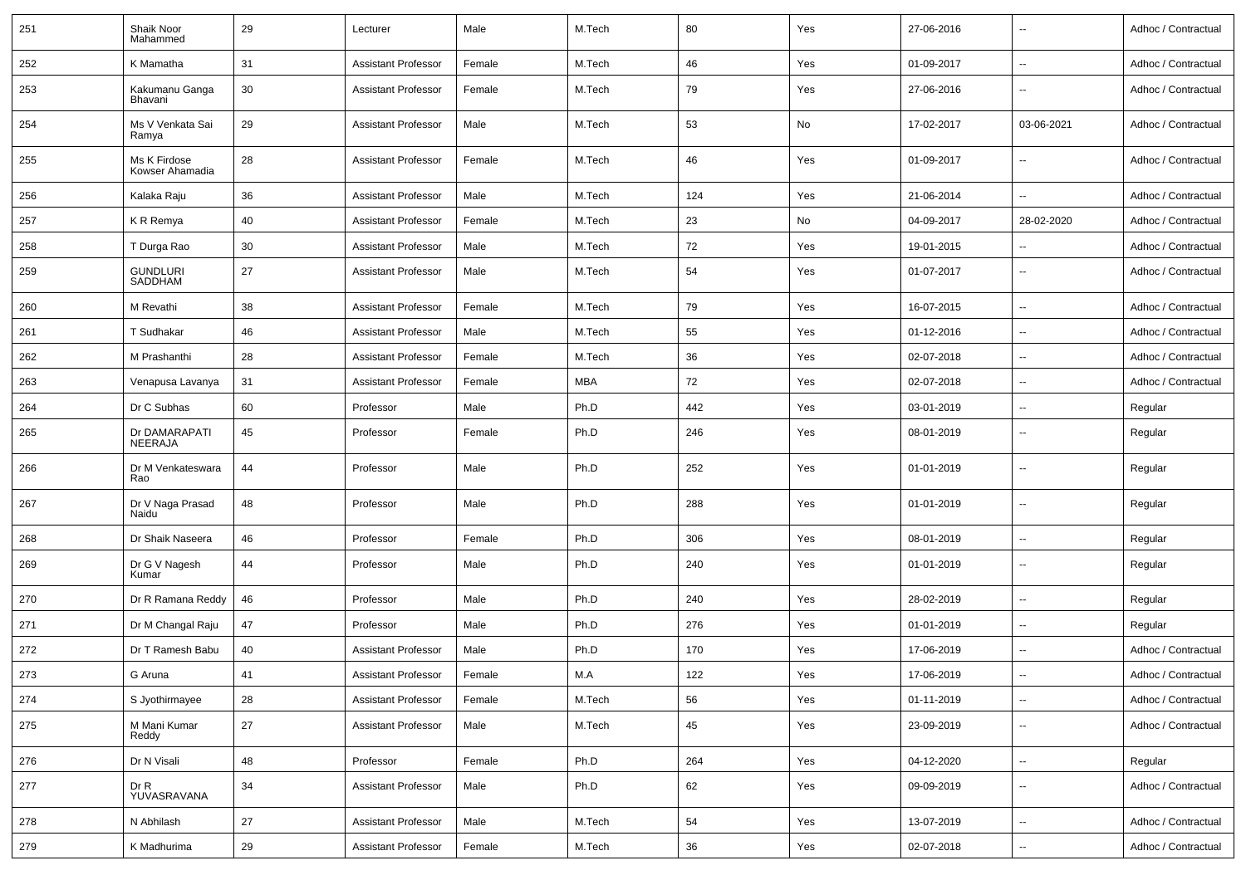| 251 | Shaik Noor<br>Mahammed          | 29 | Lecturer                   | Male   | M.Tech | 80  | Yes | 27-06-2016 | $\overline{\phantom{a}}$ | Adhoc / Contractual |
|-----|---------------------------------|----|----------------------------|--------|--------|-----|-----|------------|--------------------------|---------------------|
| 252 | K Mamatha                       | 31 | <b>Assistant Professor</b> | Female | M.Tech | 46  | Yes | 01-09-2017 | $\overline{\phantom{a}}$ | Adhoc / Contractual |
| 253 | Kakumanu Ganga<br>Bhavani       | 30 | <b>Assistant Professor</b> | Female | M.Tech | 79  | Yes | 27-06-2016 | --                       | Adhoc / Contractual |
| 254 | Ms V Venkata Sai<br>Ramya       | 29 | <b>Assistant Professor</b> | Male   | M.Tech | 53  | No  | 17-02-2017 | 03-06-2021               | Adhoc / Contractual |
| 255 | Ms K Firdose<br>Kowser Ahamadia | 28 | <b>Assistant Professor</b> | Female | M.Tech | 46  | Yes | 01-09-2017 | $\overline{\phantom{a}}$ | Adhoc / Contractual |
| 256 | Kalaka Raju                     | 36 | <b>Assistant Professor</b> | Male   | M.Tech | 124 | Yes | 21-06-2014 | $\ddotsc$                | Adhoc / Contractual |
| 257 | K R Remya                       | 40 | <b>Assistant Professor</b> | Female | M.Tech | 23  | No  | 04-09-2017 | 28-02-2020               | Adhoc / Contractual |
| 258 | T Durga Rao                     | 30 | <b>Assistant Professor</b> | Male   | M.Tech | 72  | Yes | 19-01-2015 | $\overline{\phantom{a}}$ | Adhoc / Contractual |
| 259 | GUNDLURI<br>SADDHAM             | 27 | <b>Assistant Professor</b> | Male   | M.Tech | 54  | Yes | 01-07-2017 | $\sim$                   | Adhoc / Contractual |
| 260 | M Revathi                       | 38 | <b>Assistant Professor</b> | Female | M.Tech | 79  | Yes | 16-07-2015 | $\ddotsc$                | Adhoc / Contractual |
| 261 | T Sudhakar                      | 46 | <b>Assistant Professor</b> | Male   | M.Tech | 55  | Yes | 01-12-2016 | $\sim$                   | Adhoc / Contractual |
| 262 | M Prashanthi                    | 28 | <b>Assistant Professor</b> | Female | M.Tech | 36  | Yes | 02-07-2018 | $\sim$                   | Adhoc / Contractual |
| 263 | Venapusa Lavanya                | 31 | <b>Assistant Professor</b> | Female | MBA    | 72  | Yes | 02-07-2018 | $\overline{\phantom{a}}$ | Adhoc / Contractual |
| 264 | Dr C Subhas                     | 60 | Professor                  | Male   | Ph.D   | 442 | Yes | 03-01-2019 | $\sim$                   | Regular             |
| 265 | Dr DAMARAPATI<br>NEERAJA        | 45 | Professor                  | Female | Ph.D   | 246 | Yes | 08-01-2019 | $\sim$                   | Regular             |
| 266 | Dr M Venkateswara<br>Rao        | 44 | Professor                  | Male   | Ph.D   | 252 | Yes | 01-01-2019 | $\sim$                   | Regular             |
| 267 | Dr V Naga Prasad<br>Naidu       | 48 | Professor                  | Male   | Ph.D   | 288 | Yes | 01-01-2019 | $\sim$                   | Regular             |
| 268 | Dr Shaik Naseera                | 46 | Professor                  | Female | Ph.D   | 306 | Yes | 08-01-2019 | $\overline{\phantom{a}}$ | Regular             |
| 269 | Dr G V Nagesh<br>Kumar          | 44 | Professor                  | Male   | Ph.D   | 240 | Yes | 01-01-2019 | $\overline{\phantom{a}}$ | Regular             |
| 270 | Dr R Ramana Reddy               | 46 | Professor                  | Male   | Ph.D   | 240 | Yes | 28-02-2019 | $\overline{\phantom{a}}$ | Regular             |
| 271 | Dr M Changal Raju               | 47 | Professor                  | Male   | Ph.D   | 276 | Yes | 01-01-2019 | $\sim$                   | Regular             |
| 272 | Dr T Ramesh Babu                | 40 | <b>Assistant Professor</b> | Male   | Ph.D   | 170 | Yes | 17-06-2019 | $\sim$                   | Adhoc / Contractual |
| 273 | G Aruna                         | 41 | <b>Assistant Professor</b> | Female | M.A    | 122 | Yes | 17-06-2019 | $\sim$                   | Adhoc / Contractual |
| 274 | S Jyothirmayee                  | 28 | <b>Assistant Professor</b> | Female | M.Tech | 56  | Yes | 01-11-2019 | $\ddotsc$                | Adhoc / Contractual |
| 275 | M Mani Kumar<br>Reddy           | 27 | <b>Assistant Professor</b> | Male   | M.Tech | 45  | Yes | 23-09-2019 | $\rightarrow$            | Adhoc / Contractual |
| 276 | Dr N Visali                     | 48 | Professor                  | Female | Ph.D   | 264 | Yes | 04-12-2020 | $\overline{\phantom{a}}$ | Regular             |
| 277 | Dr R<br>YUVASRAVANA             | 34 | <b>Assistant Professor</b> | Male   | Ph.D   | 62  | Yes | 09-09-2019 | $\sim$                   | Adhoc / Contractual |
| 278 | N Abhilash                      | 27 | <b>Assistant Professor</b> | Male   | M.Tech | 54  | Yes | 13-07-2019 | $\sim$                   | Adhoc / Contractual |
| 279 | K Madhurima                     | 29 | <b>Assistant Professor</b> | Female | M.Tech | 36  | Yes | 02-07-2018 | $\rightarrow$            | Adhoc / Contractual |